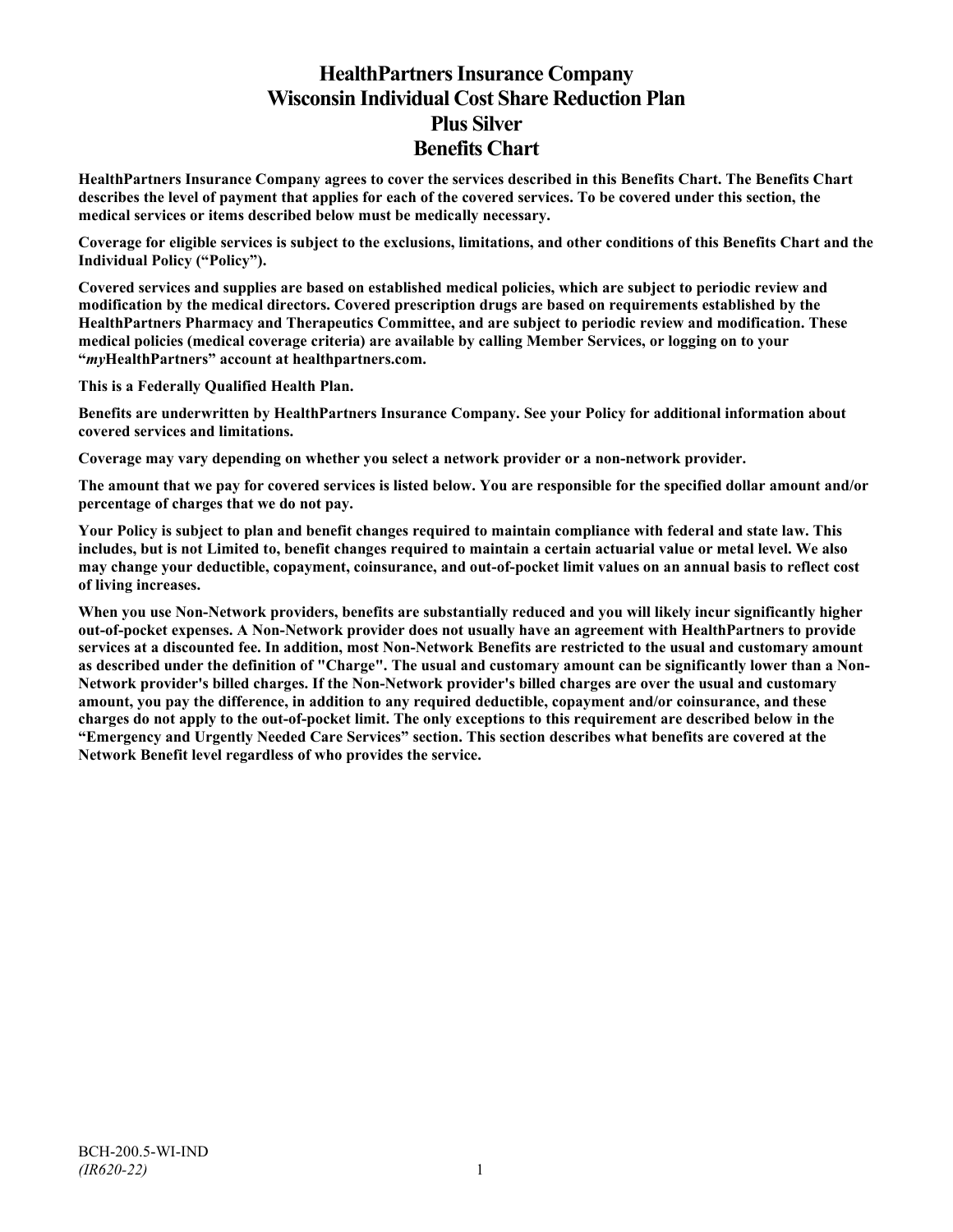# **HealthPartners Insurance Company Wisconsin Individual Cost Share Reduction Plan Plus Silver Benefits Chart**

**HealthPartners Insurance Company agrees to cover the services described in this Benefits Chart. The Benefits Chart describes the level of payment that applies for each of the covered services. To be covered under this section, the medical services or items described below must be medically necessary.**

**Coverage for eligible services is subject to the exclusions, limitations, and other conditions of this Benefits Chart and the Individual Policy ("Policy").**

**Covered services and supplies are based on established medical policies, which are subject to periodic review and modification by the medical directors. Covered prescription drugs are based on requirements established by the HealthPartners Pharmacy and Therapeutics Committee, and are subject to periodic review and modification. These medical policies (medical coverage criteria) are available by calling Member Services, or logging on to your "***my***HealthPartners" account at [healthpartners.com.](http://www.healthpartners.com/)**

**This is a Federally Qualified Health Plan.**

**Benefits are underwritten by HealthPartners Insurance Company. See your Policy for additional information about covered services and limitations.**

**Coverage may vary depending on whether you select a network provider or a non-network provider.**

**The amount that we pay for covered services is listed below. You are responsible for the specified dollar amount and/or percentage of charges that we do not pay.**

**Your Policy is subject to plan and benefit changes required to maintain compliance with federal and state law. This includes, but is not Limited to, benefit changes required to maintain a certain actuarial value or metal level. We also may change your deductible, copayment, coinsurance, and out-of-pocket limit values on an annual basis to reflect cost of living increases.**

**When you use Non-Network providers, benefits are substantially reduced and you will likely incur significantly higher out-of-pocket expenses. A Non-Network provider does not usually have an agreement with HealthPartners to provide services at a discounted fee. In addition, most Non-Network Benefits are restricted to the usual and customary amount as described under the definition of "Charge". The usual and customary amount can be significantly lower than a Non-Network provider's billed charges. If the Non-Network provider's billed charges are over the usual and customary amount, you pay the difference, in addition to any required deductible, copayment and/or coinsurance, and these charges do not apply to the out-of-pocket limit. The only exceptions to this requirement are described below in the "Emergency and Urgently Needed Care Services" section. This section describes what benefits are covered at the Network Benefit level regardless of who provides the service.**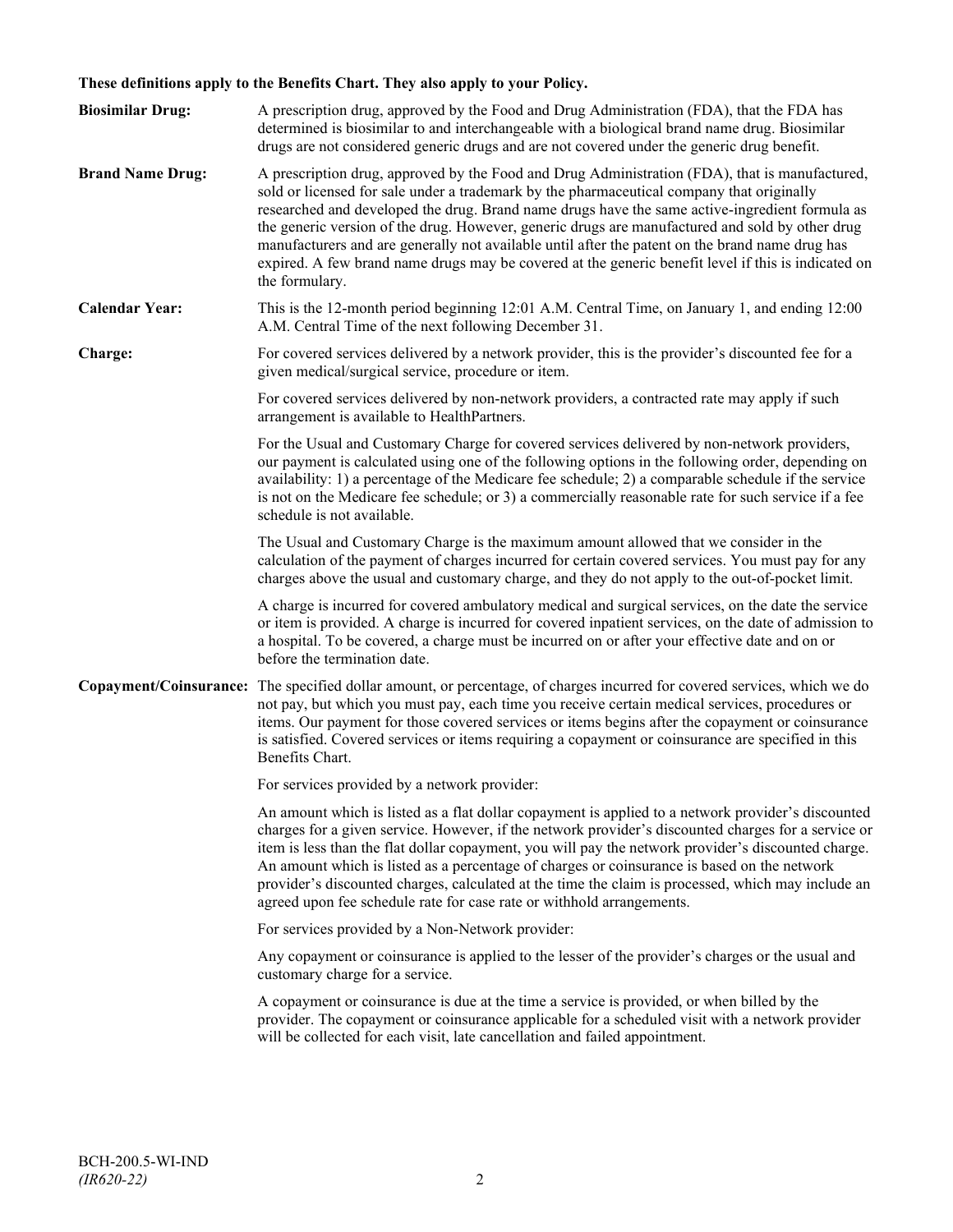## **These definitions apply to the Benefits Chart. They also apply to your Policy.**

| <b>Biosimilar Drug:</b> | A prescription drug, approved by the Food and Drug Administration (FDA), that the FDA has<br>determined is biosimilar to and interchangeable with a biological brand name drug. Biosimilar<br>drugs are not considered generic drugs and are not covered under the generic drug benefit.                                                                                                                                                                                                                                                                                                                                     |
|-------------------------|------------------------------------------------------------------------------------------------------------------------------------------------------------------------------------------------------------------------------------------------------------------------------------------------------------------------------------------------------------------------------------------------------------------------------------------------------------------------------------------------------------------------------------------------------------------------------------------------------------------------------|
| <b>Brand Name Drug:</b> | A prescription drug, approved by the Food and Drug Administration (FDA), that is manufactured,<br>sold or licensed for sale under a trademark by the pharmaceutical company that originally<br>researched and developed the drug. Brand name drugs have the same active-ingredient formula as<br>the generic version of the drug. However, generic drugs are manufactured and sold by other drug<br>manufacturers and are generally not available until after the patent on the brand name drug has<br>expired. A few brand name drugs may be covered at the generic benefit level if this is indicated on<br>the formulary. |
| <b>Calendar Year:</b>   | This is the 12-month period beginning 12:01 A.M. Central Time, on January 1, and ending 12:00<br>A.M. Central Time of the next following December 31.                                                                                                                                                                                                                                                                                                                                                                                                                                                                        |
| Charge:                 | For covered services delivered by a network provider, this is the provider's discounted fee for a<br>given medical/surgical service, procedure or item.                                                                                                                                                                                                                                                                                                                                                                                                                                                                      |
|                         | For covered services delivered by non-network providers, a contracted rate may apply if such<br>arrangement is available to HealthPartners.                                                                                                                                                                                                                                                                                                                                                                                                                                                                                  |
|                         | For the Usual and Customary Charge for covered services delivered by non-network providers,<br>our payment is calculated using one of the following options in the following order, depending on<br>availability: 1) a percentage of the Medicare fee schedule; 2) a comparable schedule if the service<br>is not on the Medicare fee schedule; or 3) a commercially reasonable rate for such service if a fee<br>schedule is not available.                                                                                                                                                                                 |
|                         | The Usual and Customary Charge is the maximum amount allowed that we consider in the<br>calculation of the payment of charges incurred for certain covered services. You must pay for any<br>charges above the usual and customary charge, and they do not apply to the out-of-pocket limit.                                                                                                                                                                                                                                                                                                                                 |
|                         | A charge is incurred for covered ambulatory medical and surgical services, on the date the service<br>or item is provided. A charge is incurred for covered inpatient services, on the date of admission to<br>a hospital. To be covered, a charge must be incurred on or after your effective date and on or<br>before the termination date.                                                                                                                                                                                                                                                                                |
|                         | Copayment/Coinsurance: The specified dollar amount, or percentage, of charges incurred for covered services, which we do<br>not pay, but which you must pay, each time you receive certain medical services, procedures or<br>items. Our payment for those covered services or items begins after the copayment or coinsurance<br>is satisfied. Covered services or items requiring a copayment or coinsurance are specified in this<br>Benefits Chart.                                                                                                                                                                      |
|                         | For services provided by a network provider:                                                                                                                                                                                                                                                                                                                                                                                                                                                                                                                                                                                 |
|                         | An amount which is listed as a flat dollar copayment is applied to a network provider's discounted<br>charges for a given service. However, if the network provider's discounted charges for a service or<br>item is less than the flat dollar copayment, you will pay the network provider's discounted charge.<br>An amount which is listed as a percentage of charges or coinsurance is based on the network<br>provider's discounted charges, calculated at the time the claim is processed, which may include an<br>agreed upon fee schedule rate for case rate or withhold arrangements.                               |
|                         | For services provided by a Non-Network provider:                                                                                                                                                                                                                                                                                                                                                                                                                                                                                                                                                                             |
|                         | Any copayment or coinsurance is applied to the lesser of the provider's charges or the usual and<br>customary charge for a service.                                                                                                                                                                                                                                                                                                                                                                                                                                                                                          |
|                         | A copayment or coinsurance is due at the time a service is provided, or when billed by the<br>provider. The copayment or coinsurance applicable for a scheduled visit with a network provider<br>will be collected for each visit, late cancellation and failed appointment.                                                                                                                                                                                                                                                                                                                                                 |
|                         |                                                                                                                                                                                                                                                                                                                                                                                                                                                                                                                                                                                                                              |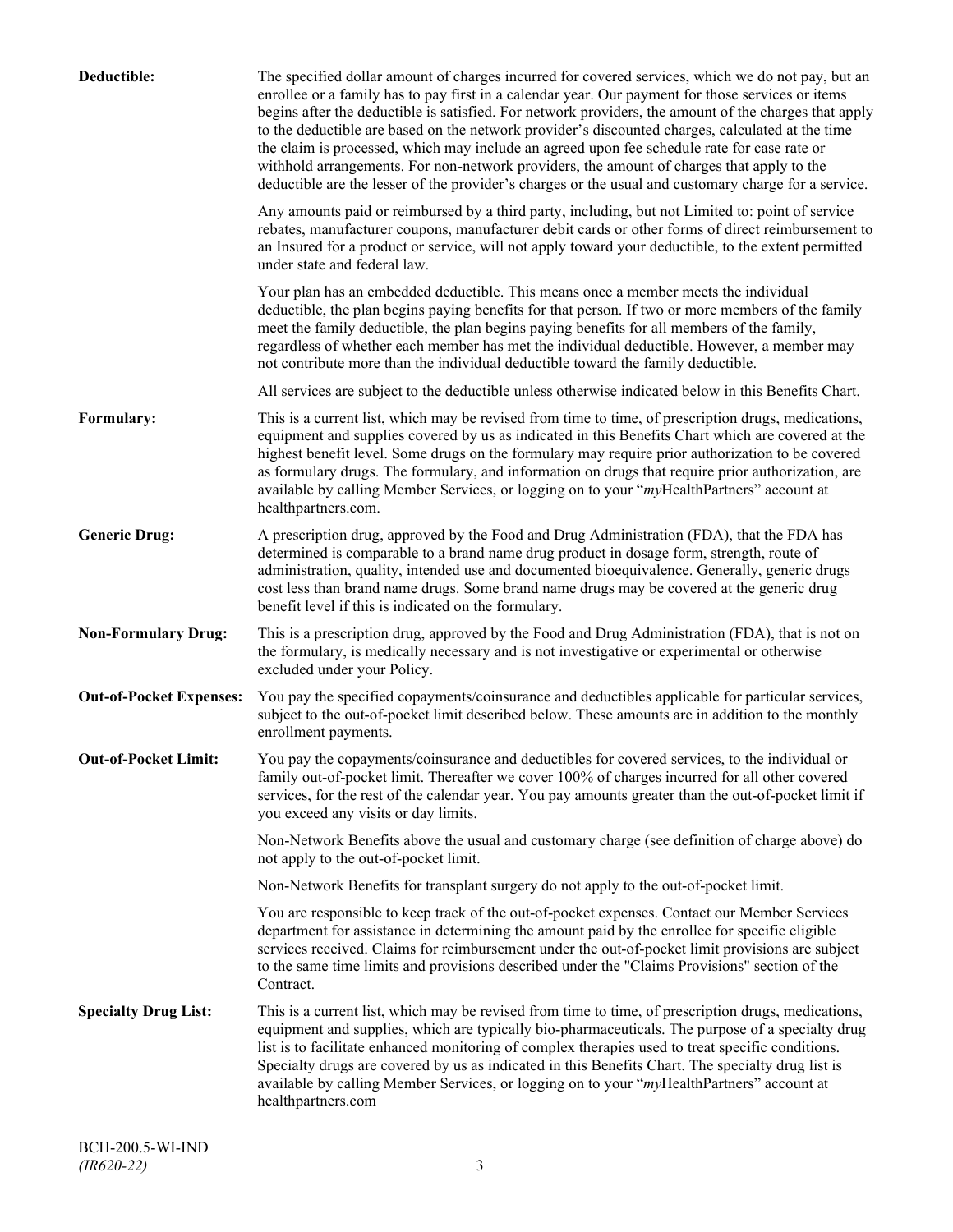| Deductible:                    | The specified dollar amount of charges incurred for covered services, which we do not pay, but an<br>enrollee or a family has to pay first in a calendar year. Our payment for those services or items<br>begins after the deductible is satisfied. For network providers, the amount of the charges that apply<br>to the deductible are based on the network provider's discounted charges, calculated at the time<br>the claim is processed, which may include an agreed upon fee schedule rate for case rate or<br>withhold arrangements. For non-network providers, the amount of charges that apply to the<br>deductible are the lesser of the provider's charges or the usual and customary charge for a service. |
|--------------------------------|-------------------------------------------------------------------------------------------------------------------------------------------------------------------------------------------------------------------------------------------------------------------------------------------------------------------------------------------------------------------------------------------------------------------------------------------------------------------------------------------------------------------------------------------------------------------------------------------------------------------------------------------------------------------------------------------------------------------------|
|                                | Any amounts paid or reimbursed by a third party, including, but not Limited to: point of service<br>rebates, manufacturer coupons, manufacturer debit cards or other forms of direct reimbursement to<br>an Insured for a product or service, will not apply toward your deductible, to the extent permitted<br>under state and federal law.                                                                                                                                                                                                                                                                                                                                                                            |
|                                | Your plan has an embedded deductible. This means once a member meets the individual<br>deductible, the plan begins paying benefits for that person. If two or more members of the family<br>meet the family deductible, the plan begins paying benefits for all members of the family,<br>regardless of whether each member has met the individual deductible. However, a member may<br>not contribute more than the individual deductible toward the family deductible.                                                                                                                                                                                                                                                |
|                                | All services are subject to the deductible unless otherwise indicated below in this Benefits Chart.                                                                                                                                                                                                                                                                                                                                                                                                                                                                                                                                                                                                                     |
| Formulary:                     | This is a current list, which may be revised from time to time, of prescription drugs, medications,<br>equipment and supplies covered by us as indicated in this Benefits Chart which are covered at the<br>highest benefit level. Some drugs on the formulary may require prior authorization to be covered<br>as formulary drugs. The formulary, and information on drugs that require prior authorization, are<br>available by calling Member Services, or logging on to your "myHealthPartners" account at<br>healthpartners.com.                                                                                                                                                                                   |
| <b>Generic Drug:</b>           | A prescription drug, approved by the Food and Drug Administration (FDA), that the FDA has<br>determined is comparable to a brand name drug product in dosage form, strength, route of<br>administration, quality, intended use and documented bioequivalence. Generally, generic drugs<br>cost less than brand name drugs. Some brand name drugs may be covered at the generic drug<br>benefit level if this is indicated on the formulary.                                                                                                                                                                                                                                                                             |
| <b>Non-Formulary Drug:</b>     | This is a prescription drug, approved by the Food and Drug Administration (FDA), that is not on<br>the formulary, is medically necessary and is not investigative or experimental or otherwise<br>excluded under your Policy.                                                                                                                                                                                                                                                                                                                                                                                                                                                                                           |
| <b>Out-of-Pocket Expenses:</b> | You pay the specified copayments/coinsurance and deductibles applicable for particular services,<br>subject to the out-of-pocket limit described below. These amounts are in addition to the monthly<br>enrollment payments.                                                                                                                                                                                                                                                                                                                                                                                                                                                                                            |
| <b>Out-of-Pocket Limit:</b>    | You pay the copayments/coinsurance and deductibles for covered services, to the individual or<br>family out-of-pocket limit. Thereafter we cover 100% of charges incurred for all other covered<br>services, for the rest of the calendar year. You pay amounts greater than the out-of-pocket limit if<br>you exceed any visits or day limits.                                                                                                                                                                                                                                                                                                                                                                         |
|                                | Non-Network Benefits above the usual and customary charge (see definition of charge above) do<br>not apply to the out-of-pocket limit.                                                                                                                                                                                                                                                                                                                                                                                                                                                                                                                                                                                  |
|                                | Non-Network Benefits for transplant surgery do not apply to the out-of-pocket limit.                                                                                                                                                                                                                                                                                                                                                                                                                                                                                                                                                                                                                                    |
|                                | You are responsible to keep track of the out-of-pocket expenses. Contact our Member Services<br>department for assistance in determining the amount paid by the enrollee for specific eligible<br>services received. Claims for reimbursement under the out-of-pocket limit provisions are subject<br>to the same time limits and provisions described under the "Claims Provisions" section of the<br>Contract.                                                                                                                                                                                                                                                                                                        |
| <b>Specialty Drug List:</b>    | This is a current list, which may be revised from time to time, of prescription drugs, medications,<br>equipment and supplies, which are typically bio-pharmaceuticals. The purpose of a specialty drug<br>list is to facilitate enhanced monitoring of complex therapies used to treat specific conditions.<br>Specialty drugs are covered by us as indicated in this Benefits Chart. The specialty drug list is<br>available by calling Member Services, or logging on to your "myHealthPartners" account at<br>healthpartners.com                                                                                                                                                                                    |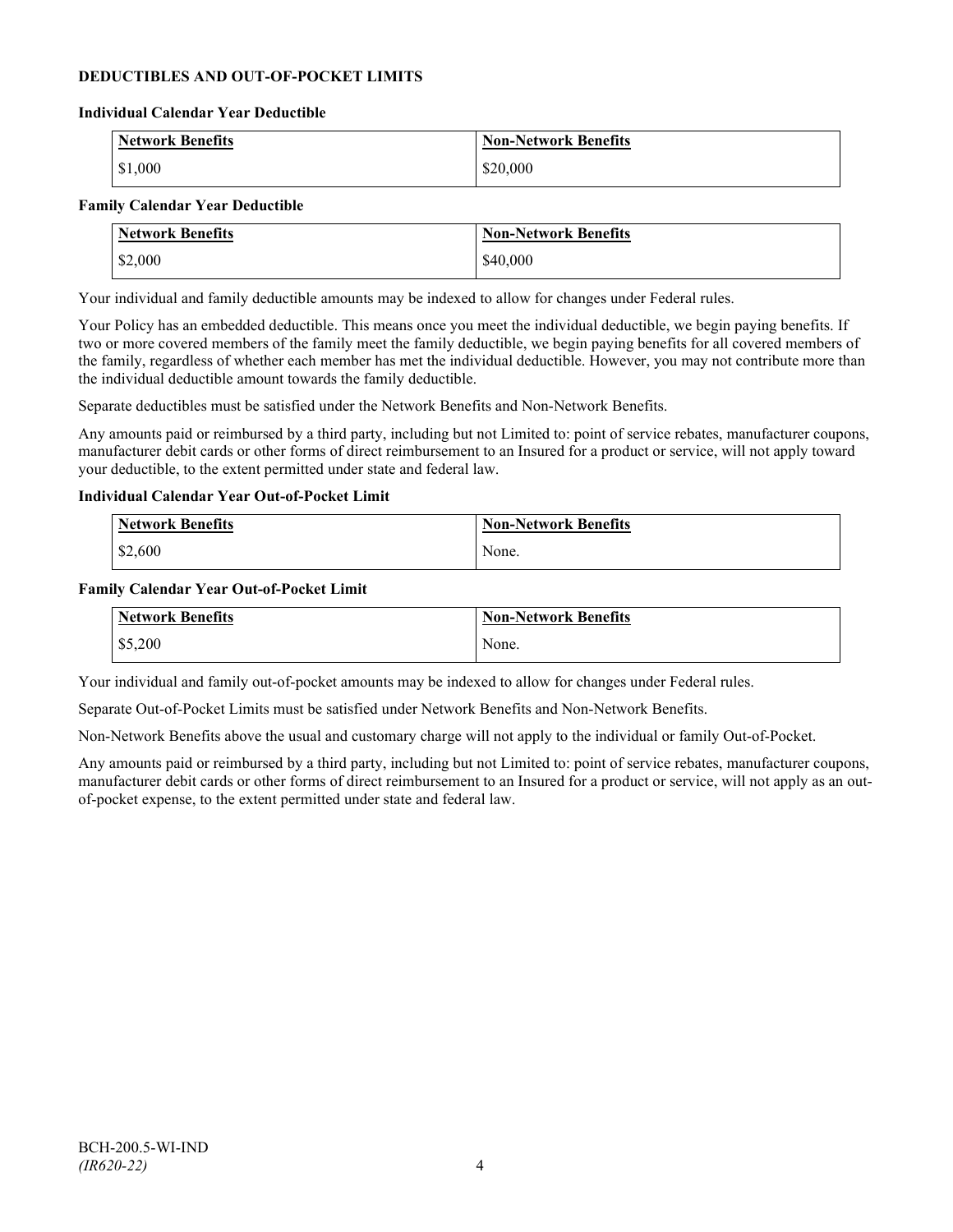## **DEDUCTIBLES AND OUT-OF-POCKET LIMITS**

#### **Individual Calendar Year Deductible**

| <b>Network Benefits</b> | <b>Non-Network Benefits</b> |
|-------------------------|-----------------------------|
| \$1,000                 | \$20,000                    |

#### **Family Calendar Year Deductible**

| <b>Network Benefits</b> | <b>Non-Network Benefits</b> |
|-------------------------|-----------------------------|
| \$2,000                 | \$40,000                    |

Your individual and family deductible amounts may be indexed to allow for changes under Federal rules.

Your Policy has an embedded deductible. This means once you meet the individual deductible, we begin paying benefits. If two or more covered members of the family meet the family deductible, we begin paying benefits for all covered members of the family, regardless of whether each member has met the individual deductible. However, you may not contribute more than the individual deductible amount towards the family deductible.

Separate deductibles must be satisfied under the Network Benefits and Non-Network Benefits.

Any amounts paid or reimbursed by a third party, including but not Limited to: point of service rebates, manufacturer coupons, manufacturer debit cards or other forms of direct reimbursement to an Insured for a product or service, will not apply toward your deductible, to the extent permitted under state and federal law.

#### **Individual Calendar Year Out-of-Pocket Limit**

| Network Benefits | <b>Non-Network Benefits</b> |
|------------------|-----------------------------|
| \$2,600          | None.                       |

#### **Family Calendar Year Out-of-Pocket Limit**

| Network Benefits | <b>Non-Network Benefits</b> |
|------------------|-----------------------------|
| \$5,200          | None.                       |

Your individual and family out-of-pocket amounts may be indexed to allow for changes under Federal rules.

Separate Out-of-Pocket Limits must be satisfied under Network Benefits and Non-Network Benefits.

Non-Network Benefits above the usual and customary charge will not apply to the individual or family Out-of-Pocket.

Any amounts paid or reimbursed by a third party, including but not Limited to: point of service rebates, manufacturer coupons, manufacturer debit cards or other forms of direct reimbursement to an Insured for a product or service, will not apply as an outof-pocket expense, to the extent permitted under state and federal law.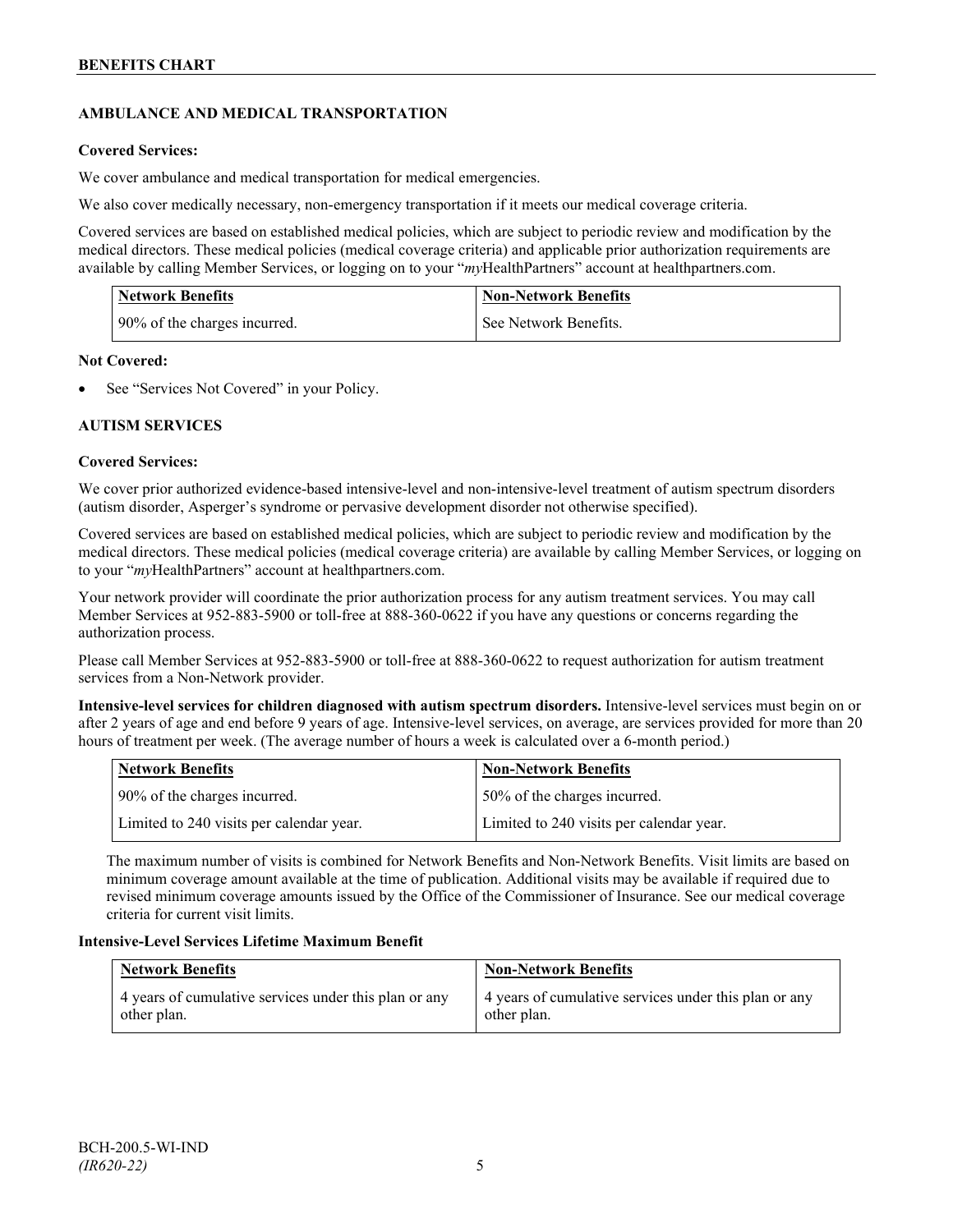## **AMBULANCE AND MEDICAL TRANSPORTATION**

## **Covered Services:**

We cover ambulance and medical transportation for medical emergencies.

We also cover medically necessary, non-emergency transportation if it meets our medical coverage criteria.

Covered services are based on established medical policies, which are subject to periodic review and modification by the medical directors. These medical policies (medical coverage criteria) and applicable prior authorization requirements are available by calling Member Services, or logging on to your "*my*HealthPartners" account a[t healthpartners.com.](http://www.healthpartners.com/)

| <b>Network Benefits</b>      | <b>Non-Network Benefits</b> |
|------------------------------|-----------------------------|
| 90% of the charges incurred. | See Network Benefits.       |

## **Not Covered:**

See "Services Not Covered" in your Policy.

## **AUTISM SERVICES**

## **Covered Services:**

We cover prior authorized evidence-based intensive-level and non-intensive-level treatment of autism spectrum disorders (autism disorder, Asperger's syndrome or pervasive development disorder not otherwise specified).

Covered services are based on established medical policies, which are subject to periodic review and modification by the medical directors. These medical policies (medical coverage criteria) are available by calling Member Services, or logging on to your "*my*HealthPartners" account at [healthpartners.com.](http://www.healthpartners.com/)

Your network provider will coordinate the prior authorization process for any autism treatment services. You may call Member Services at 952-883-5900 or toll-free at 888-360-0622 if you have any questions or concerns regarding the authorization process.

Please call Member Services at 952-883-5900 or toll-free at 888-360-0622 to request authorization for autism treatment services from a Non-Network provider.

**Intensive-level services for children diagnosed with autism spectrum disorders.** Intensive-level services must begin on or after 2 years of age and end before 9 years of age. Intensive-level services, on average, are services provided for more than 20 hours of treatment per week. (The average number of hours a week is calculated over a 6-month period.)

| Network Benefits                         | <b>Non-Network Benefits</b>              |
|------------------------------------------|------------------------------------------|
| 90% of the charges incurred.             | 150% of the charges incurred.            |
| Limited to 240 visits per calendar year. | Limited to 240 visits per calendar year. |

The maximum number of visits is combined for Network Benefits and Non-Network Benefits. Visit limits are based on minimum coverage amount available at the time of publication. Additional visits may be available if required due to revised minimum coverage amounts issued by the Office of the Commissioner of Insurance. See our medical coverage criteria for current visit limits.

## **Intensive-Level Services Lifetime Maximum Benefit**

| <b>Network Benefits</b>                               | <b>Non-Network Benefits</b>                           |
|-------------------------------------------------------|-------------------------------------------------------|
| 4 years of cumulative services under this plan or any | 4 years of cumulative services under this plan or any |
| other plan.                                           | other plan.                                           |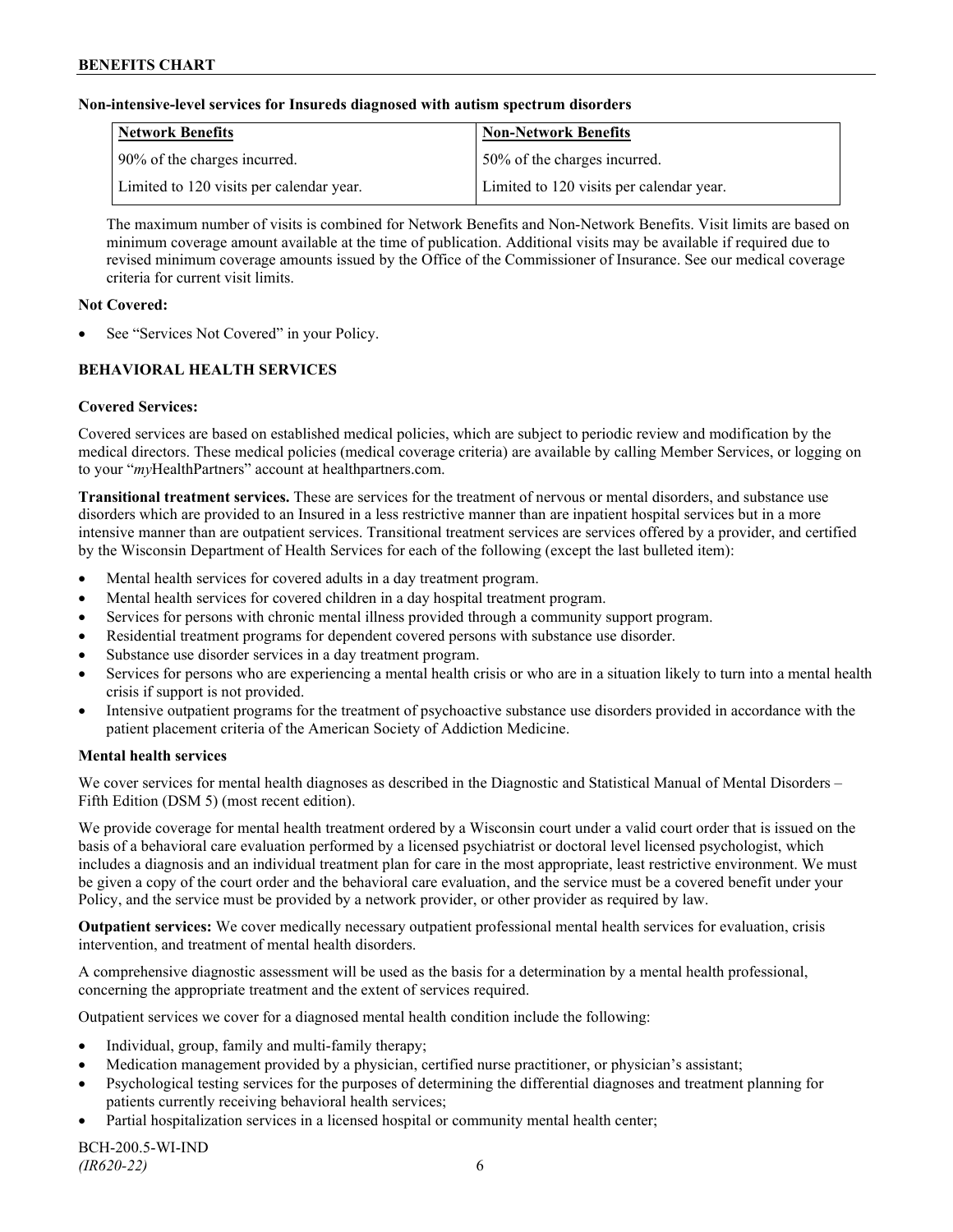#### **Non-intensive-level services for Insureds diagnosed with autism spectrum disorders**

| Network Benefits                         | <b>Non-Network Benefits</b>              |
|------------------------------------------|------------------------------------------|
| 90% of the charges incurred.             | 50% of the charges incurred.             |
| Limited to 120 visits per calendar year. | Limited to 120 visits per calendar year. |

The maximum number of visits is combined for Network Benefits and Non-Network Benefits. Visit limits are based on minimum coverage amount available at the time of publication. Additional visits may be available if required due to revised minimum coverage amounts issued by the Office of the Commissioner of Insurance. See our medical coverage criteria for current visit limits.

#### **Not Covered:**

See "Services Not Covered" in your Policy.

## **BEHAVIORAL HEALTH SERVICES**

#### **Covered Services:**

Covered services are based on established medical policies, which are subject to periodic review and modification by the medical directors. These medical policies (medical coverage criteria) are available by calling Member Services, or logging on to your "*my*HealthPartners" account at [healthpartners.com.](http://www.healthpartners.com/)

**Transitional treatment services.** These are services for the treatment of nervous or mental disorders, and substance use disorders which are provided to an Insured in a less restrictive manner than are inpatient hospital services but in a more intensive manner than are outpatient services. Transitional treatment services are services offered by a provider, and certified by the Wisconsin Department of Health Services for each of the following (except the last bulleted item):

- Mental health services for covered adults in a day treatment program.
- Mental health services for covered children in a day hospital treatment program.
- Services for persons with chronic mental illness provided through a community support program.
- Residential treatment programs for dependent covered persons with substance use disorder.
- Substance use disorder services in a day treatment program.
- Services for persons who are experiencing a mental health crisis or who are in a situation likely to turn into a mental health crisis if support is not provided.
- Intensive outpatient programs for the treatment of psychoactive substance use disorders provided in accordance with the patient placement criteria of the American Society of Addiction Medicine.

#### **Mental health services**

We cover services for mental health diagnoses as described in the Diagnostic and Statistical Manual of Mental Disorders – Fifth Edition (DSM 5) (most recent edition).

We provide coverage for mental health treatment ordered by a Wisconsin court under a valid court order that is issued on the basis of a behavioral care evaluation performed by a licensed psychiatrist or doctoral level licensed psychologist, which includes a diagnosis and an individual treatment plan for care in the most appropriate, least restrictive environment. We must be given a copy of the court order and the behavioral care evaluation, and the service must be a covered benefit under your Policy, and the service must be provided by a network provider, or other provider as required by law.

**Outpatient services:** We cover medically necessary outpatient professional mental health services for evaluation, crisis intervention, and treatment of mental health disorders.

A comprehensive diagnostic assessment will be used as the basis for a determination by a mental health professional, concerning the appropriate treatment and the extent of services required.

Outpatient services we cover for a diagnosed mental health condition include the following:

- Individual, group, family and multi-family therapy;
- Medication management provided by a physician, certified nurse practitioner, or physician's assistant;
- Psychological testing services for the purposes of determining the differential diagnoses and treatment planning for patients currently receiving behavioral health services;
- Partial hospitalization services in a licensed hospital or community mental health center;

BCH-200.5-WI-IND *(IR620-22)* 6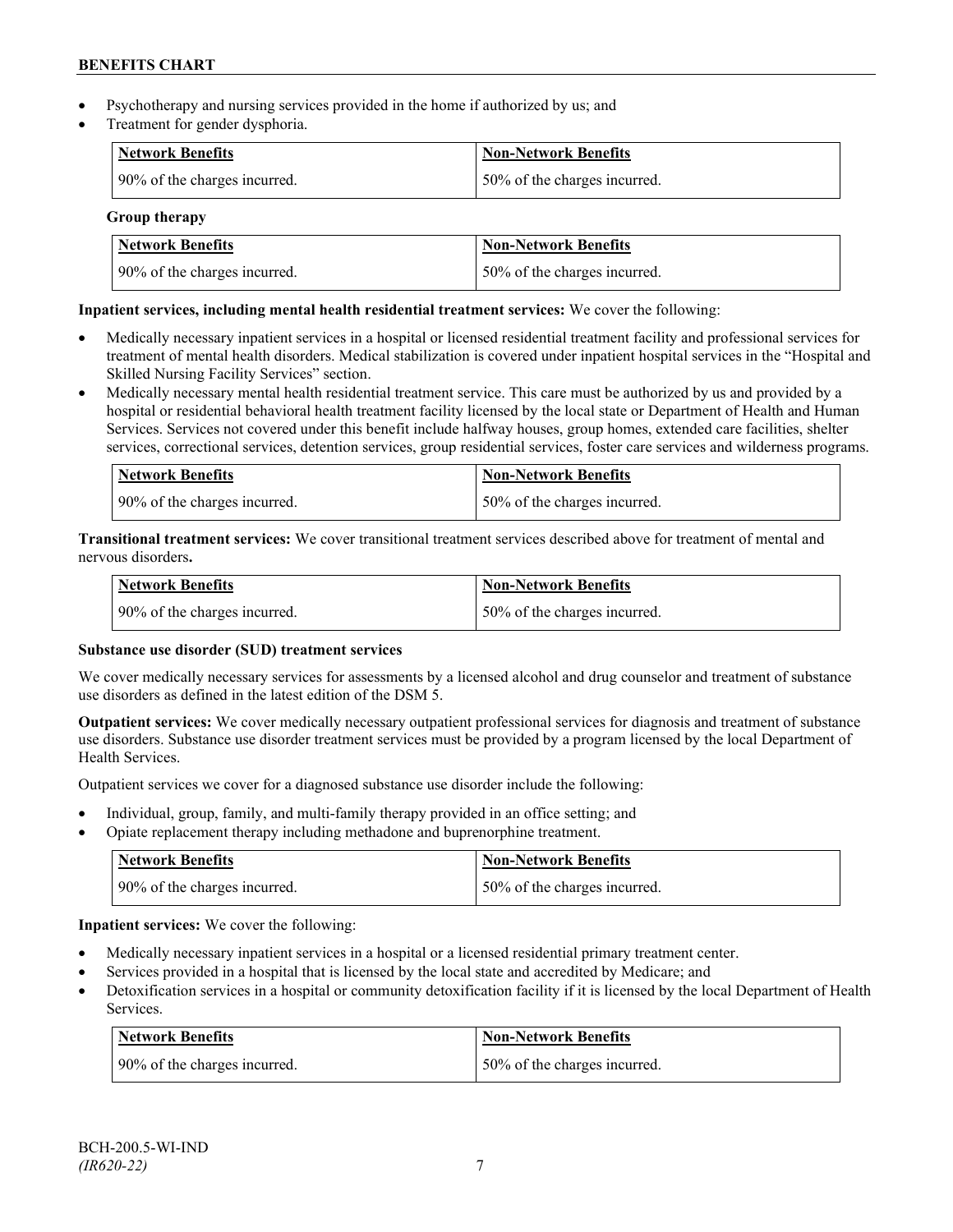- Psychotherapy and nursing services provided in the home if authorized by us; and
- Treatment for gender dysphoria.

| <b>Network Benefits</b>      | <b>Non-Network Benefits</b>  |
|------------------------------|------------------------------|
| 90% of the charges incurred. | 50% of the charges incurred. |

**Group therapy**

| Network Benefits             | <b>Non-Network Benefits</b>   |
|------------------------------|-------------------------------|
| 90% of the charges incurred. | 150% of the charges incurred. |

## **Inpatient services, including mental health residential treatment services:** We cover the following:

- Medically necessary inpatient services in a hospital or licensed residential treatment facility and professional services for treatment of mental health disorders. Medical stabilization is covered under inpatient hospital services in the "Hospital and Skilled Nursing Facility Services" section.
- Medically necessary mental health residential treatment service. This care must be authorized by us and provided by a hospital or residential behavioral health treatment facility licensed by the local state or Department of Health and Human Services. Services not covered under this benefit include halfway houses, group homes, extended care facilities, shelter services, correctional services, detention services, group residential services, foster care services and wilderness programs.

| Network Benefits             | Non-Network Benefits         |
|------------------------------|------------------------------|
| 90% of the charges incurred. | 50% of the charges incurred. |

**Transitional treatment services:** We cover transitional treatment services described above for treatment of mental and nervous disorders**.**

| <b>Network Benefits</b>      | Non-Network Benefits             |
|------------------------------|----------------------------------|
| 90% of the charges incurred. | $150\%$ of the charges incurred. |

## **Substance use disorder (SUD) treatment services**

We cover medically necessary services for assessments by a licensed alcohol and drug counselor and treatment of substance use disorders as defined in the latest edition of the DSM 5.

**Outpatient services:** We cover medically necessary outpatient professional services for diagnosis and treatment of substance use disorders. Substance use disorder treatment services must be provided by a program licensed by the local Department of Health Services.

Outpatient services we cover for a diagnosed substance use disorder include the following:

- Individual, group, family, and multi-family therapy provided in an office setting; and
- Opiate replacement therapy including methadone and buprenorphine treatment.

| <b>Network Benefits</b>      | <b>Non-Network Benefits</b>  |
|------------------------------|------------------------------|
| 90% of the charges incurred. | 50% of the charges incurred. |

**Inpatient services:** We cover the following:

- Medically necessary inpatient services in a hospital or a licensed residential primary treatment center.
- Services provided in a hospital that is licensed by the local state and accredited by Medicare; and
- Detoxification services in a hospital or community detoxification facility if it is licensed by the local Department of Health Services.

| Network Benefits             | <b>Non-Network Benefits</b>  |
|------------------------------|------------------------------|
| 90% of the charges incurred. | 50% of the charges incurred. |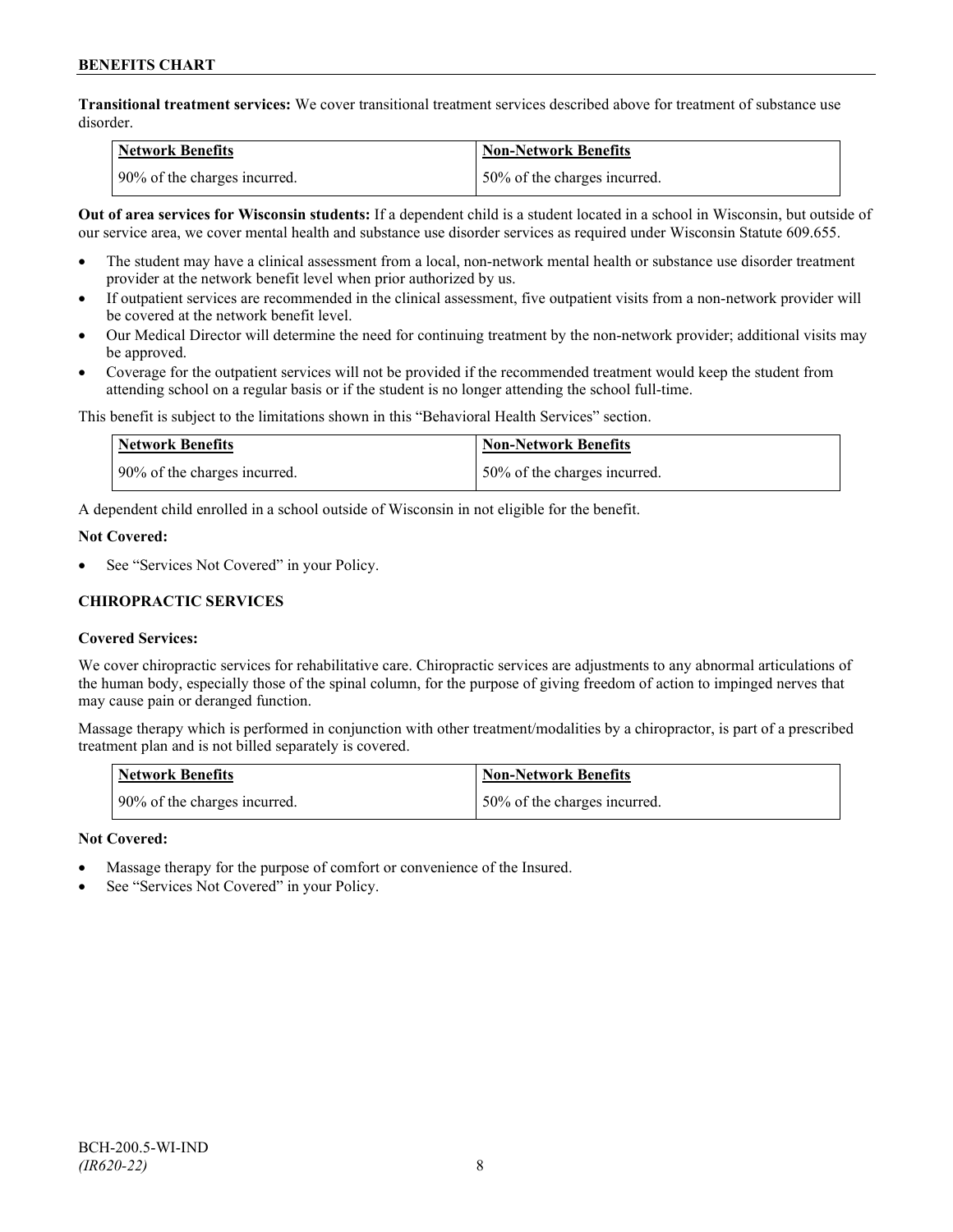**Transitional treatment services:** We cover transitional treatment services described above for treatment of substance use disorder.

| <b>Network Benefits</b>       | <b>Non-Network Benefits</b>  |
|-------------------------------|------------------------------|
| 190% of the charges incurred. | 50% of the charges incurred. |

**Out of area services for Wisconsin students:** If a dependent child is a student located in a school in Wisconsin, but outside of our service area, we cover mental health and substance use disorder services as required under Wisconsin Statute 609.655.

- The student may have a clinical assessment from a local, non-network mental health or substance use disorder treatment provider at the network benefit level when prior authorized by us.
- If outpatient services are recommended in the clinical assessment, five outpatient visits from a non-network provider will be covered at the network benefit level.
- Our Medical Director will determine the need for continuing treatment by the non-network provider; additional visits may be approved.
- Coverage for the outpatient services will not be provided if the recommended treatment would keep the student from attending school on a regular basis or if the student is no longer attending the school full-time.

This benefit is subject to the limitations shown in this "Behavioral Health Services" section.

| Network Benefits             | Non-Network Benefits         |
|------------------------------|------------------------------|
| 90% of the charges incurred. | 50% of the charges incurred. |

A dependent child enrolled in a school outside of Wisconsin in not eligible for the benefit.

#### **Not Covered:**

See "Services Not Covered" in your Policy.

## **CHIROPRACTIC SERVICES**

## **Covered Services:**

We cover chiropractic services for rehabilitative care. Chiropractic services are adjustments to any abnormal articulations of the human body, especially those of the spinal column, for the purpose of giving freedom of action to impinged nerves that may cause pain or deranged function.

Massage therapy which is performed in conjunction with other treatment/modalities by a chiropractor, is part of a prescribed treatment plan and is not billed separately is covered.

| <b>Network Benefits</b>      | Non-Network Benefits         |
|------------------------------|------------------------------|
| 90% of the charges incurred. | 50% of the charges incurred. |

## **Not Covered:**

- Massage therapy for the purpose of comfort or convenience of the Insured.
- See "Services Not Covered" in your Policy.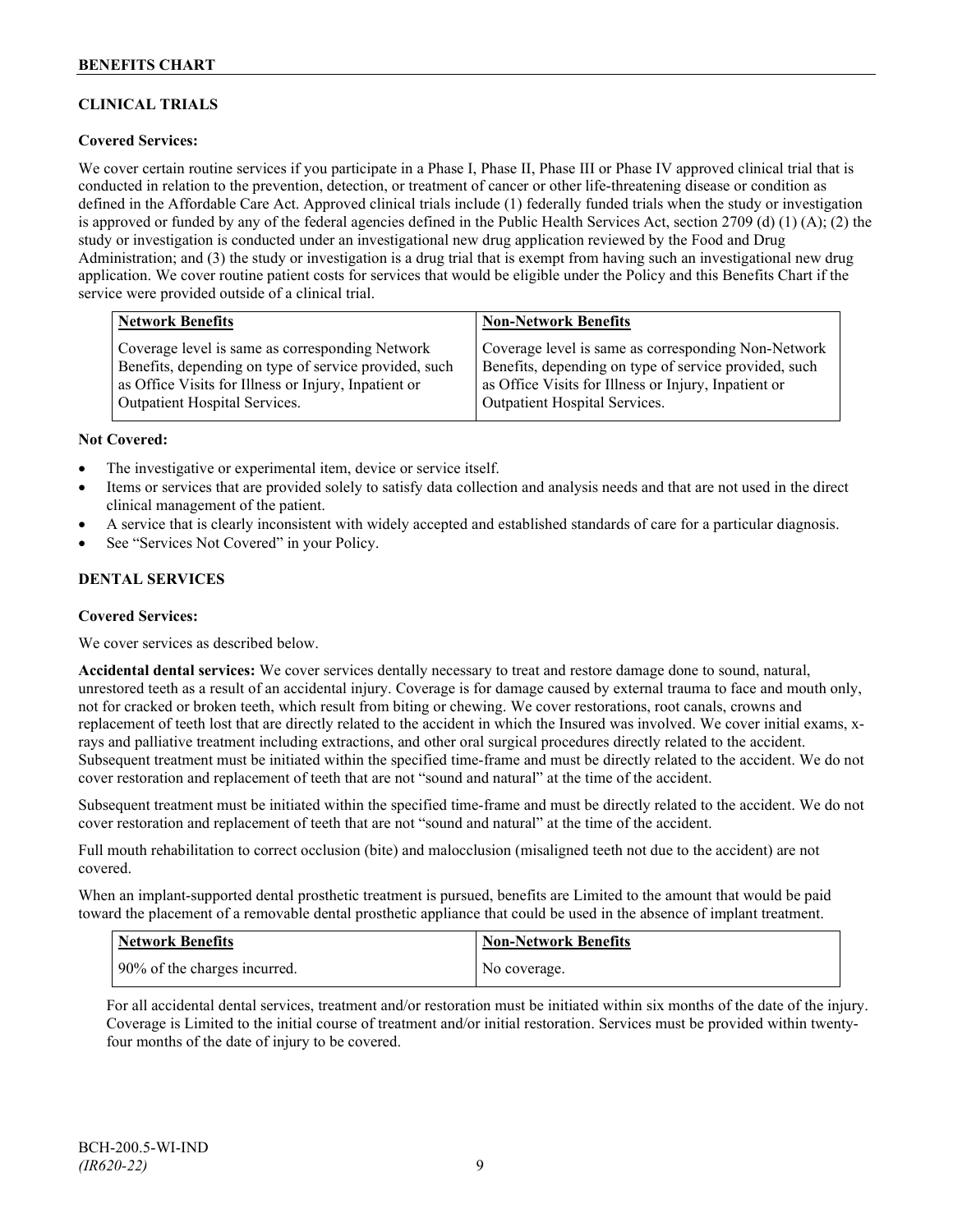## **CLINICAL TRIALS**

## **Covered Services:**

We cover certain routine services if you participate in a Phase I, Phase II, Phase III or Phase IV approved clinical trial that is conducted in relation to the prevention, detection, or treatment of cancer or other life-threatening disease or condition as defined in the Affordable Care Act. Approved clinical trials include (1) federally funded trials when the study or investigation is approved or funded by any of the federal agencies defined in the Public Health Services Act, section 2709 (d) (1) (A); (2) the study or investigation is conducted under an investigational new drug application reviewed by the Food and Drug Administration; and (3) the study or investigation is a drug trial that is exempt from having such an investigational new drug application. We cover routine patient costs for services that would be eligible under the Policy and this Benefits Chart if the service were provided outside of a clinical trial.

| <b>Network Benefits</b>                               | <b>Non-Network Benefits</b>                           |
|-------------------------------------------------------|-------------------------------------------------------|
| Coverage level is same as corresponding Network       | Coverage level is same as corresponding Non-Network   |
| Benefits, depending on type of service provided, such | Benefits, depending on type of service provided, such |
| as Office Visits for Illness or Injury, Inpatient or  | as Office Visits for Illness or Injury, Inpatient or  |
| <b>Outpatient Hospital Services.</b>                  | Outpatient Hospital Services.                         |

#### **Not Covered:**

- The investigative or experimental item, device or service itself.
- Items or services that are provided solely to satisfy data collection and analysis needs and that are not used in the direct clinical management of the patient.
- A service that is clearly inconsistent with widely accepted and established standards of care for a particular diagnosis.
- See "Services Not Covered" in your Policy.

## **DENTAL SERVICES**

#### **Covered Services:**

We cover services as described below.

**Accidental dental services:** We cover services dentally necessary to treat and restore damage done to sound, natural, unrestored teeth as a result of an accidental injury. Coverage is for damage caused by external trauma to face and mouth only, not for cracked or broken teeth, which result from biting or chewing. We cover restorations, root canals, crowns and replacement of teeth lost that are directly related to the accident in which the Insured was involved. We cover initial exams, xrays and palliative treatment including extractions, and other oral surgical procedures directly related to the accident. Subsequent treatment must be initiated within the specified time-frame and must be directly related to the accident. We do not cover restoration and replacement of teeth that are not "sound and natural" at the time of the accident.

Subsequent treatment must be initiated within the specified time-frame and must be directly related to the accident. We do not cover restoration and replacement of teeth that are not "sound and natural" at the time of the accident.

Full mouth rehabilitation to correct occlusion (bite) and malocclusion (misaligned teeth not due to the accident) are not covered.

When an implant-supported dental prosthetic treatment is pursued, benefits are Limited to the amount that would be paid toward the placement of a removable dental prosthetic appliance that could be used in the absence of implant treatment.

| Network Benefits             | <b>Non-Network Benefits</b> |
|------------------------------|-----------------------------|
| 90% of the charges incurred. | No coverage.                |

For all accidental dental services, treatment and/or restoration must be initiated within six months of the date of the injury. Coverage is Limited to the initial course of treatment and/or initial restoration. Services must be provided within twentyfour months of the date of injury to be covered.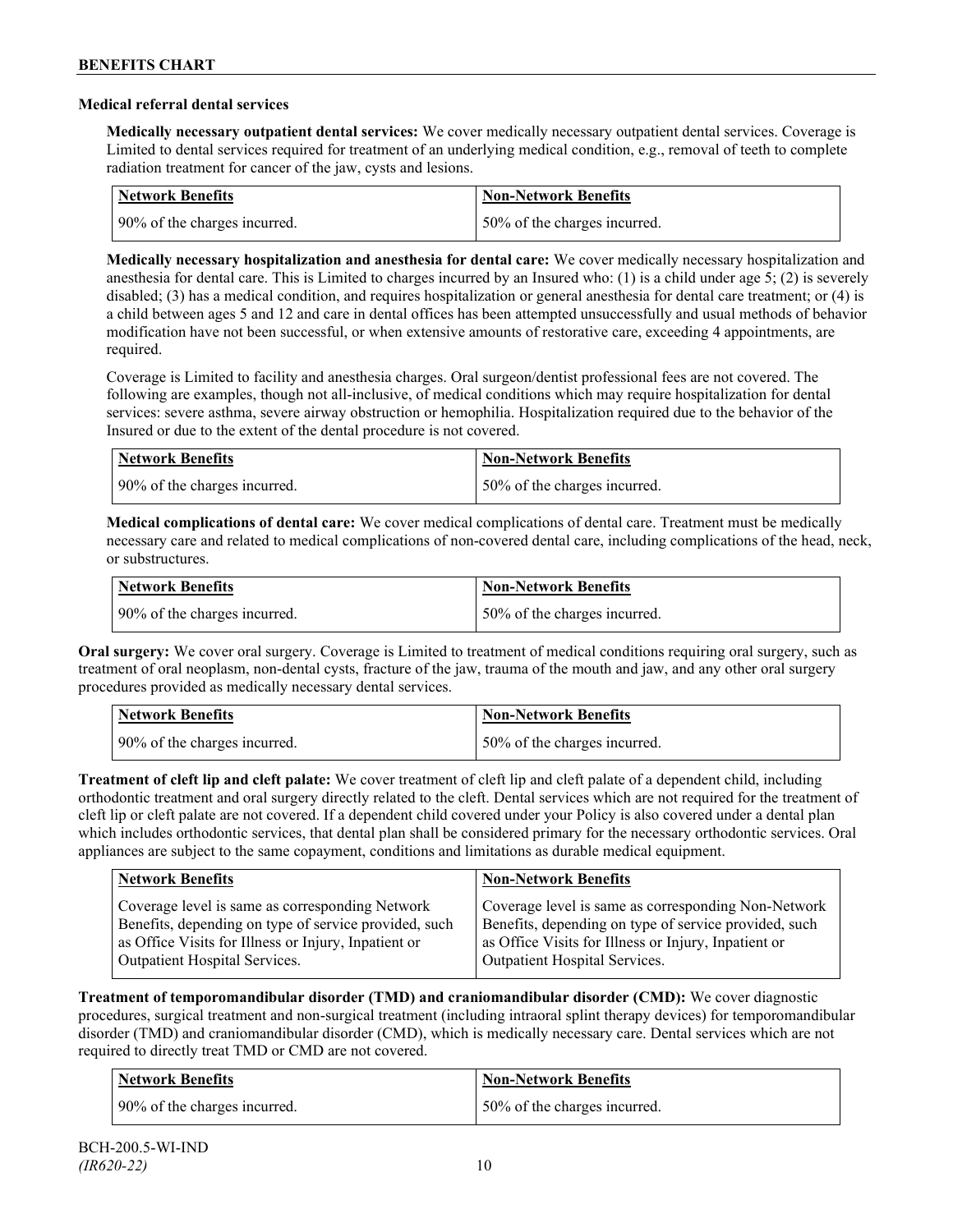#### **Medical referral dental services**

**Medically necessary outpatient dental services:** We cover medically necessary outpatient dental services. Coverage is Limited to dental services required for treatment of an underlying medical condition, e.g., removal of teeth to complete radiation treatment for cancer of the jaw, cysts and lesions.

| Network Benefits             | <b>Non-Network Benefits</b>  |
|------------------------------|------------------------------|
| 90% of the charges incurred. | 50% of the charges incurred. |

**Medically necessary hospitalization and anesthesia for dental care:** We cover medically necessary hospitalization and anesthesia for dental care. This is Limited to charges incurred by an Insured who: (1) is a child under age 5; (2) is severely disabled; (3) has a medical condition, and requires hospitalization or general anesthesia for dental care treatment; or (4) is a child between ages 5 and 12 and care in dental offices has been attempted unsuccessfully and usual methods of behavior modification have not been successful, or when extensive amounts of restorative care, exceeding 4 appointments, are required.

Coverage is Limited to facility and anesthesia charges. Oral surgeon/dentist professional fees are not covered. The following are examples, though not all-inclusive, of medical conditions which may require hospitalization for dental services: severe asthma, severe airway obstruction or hemophilia. Hospitalization required due to the behavior of the Insured or due to the extent of the dental procedure is not covered.

| Network Benefits             | <b>Non-Network Benefits</b>  |
|------------------------------|------------------------------|
| 90% of the charges incurred. | 50% of the charges incurred. |

**Medical complications of dental care:** We cover medical complications of dental care. Treatment must be medically necessary care and related to medical complications of non-covered dental care, including complications of the head, neck, or substructures.

| Network Benefits             | <b>Non-Network Benefits</b>  |
|------------------------------|------------------------------|
| 90% of the charges incurred. | 50% of the charges incurred. |

**Oral surgery:** We cover oral surgery. Coverage is Limited to treatment of medical conditions requiring oral surgery, such as treatment of oral neoplasm, non-dental cysts, fracture of the jaw, trauma of the mouth and jaw, and any other oral surgery procedures provided as medically necessary dental services.

| <b>Network Benefits</b>      | <b>Non-Network Benefits</b>  |
|------------------------------|------------------------------|
| 90% of the charges incurred. | 50% of the charges incurred. |

**Treatment of cleft lip and cleft palate:** We cover treatment of cleft lip and cleft palate of a dependent child, including orthodontic treatment and oral surgery directly related to the cleft. Dental services which are not required for the treatment of cleft lip or cleft palate are not covered. If a dependent child covered under your Policy is also covered under a dental plan which includes orthodontic services, that dental plan shall be considered primary for the necessary orthodontic services. Oral appliances are subject to the same copayment, conditions and limitations as durable medical equipment.

| <b>Network Benefits</b>                               | <b>Non-Network Benefits</b>                           |
|-------------------------------------------------------|-------------------------------------------------------|
| Coverage level is same as corresponding Network       | Coverage level is same as corresponding Non-Network   |
| Benefits, depending on type of service provided, such | Benefits, depending on type of service provided, such |
| as Office Visits for Illness or Injury, Inpatient or  | as Office Visits for Illness or Injury, Inpatient or  |
| Outpatient Hospital Services.                         | Outpatient Hospital Services.                         |

**Treatment of temporomandibular disorder (TMD) and craniomandibular disorder (CMD):** We cover diagnostic procedures, surgical treatment and non-surgical treatment (including intraoral splint therapy devices) for temporomandibular disorder (TMD) and craniomandibular disorder (CMD), which is medically necessary care. Dental services which are not required to directly treat TMD or CMD are not covered.

| Network Benefits             | <b>Non-Network Benefits</b>  |
|------------------------------|------------------------------|
| 90% of the charges incurred. | 50% of the charges incurred. |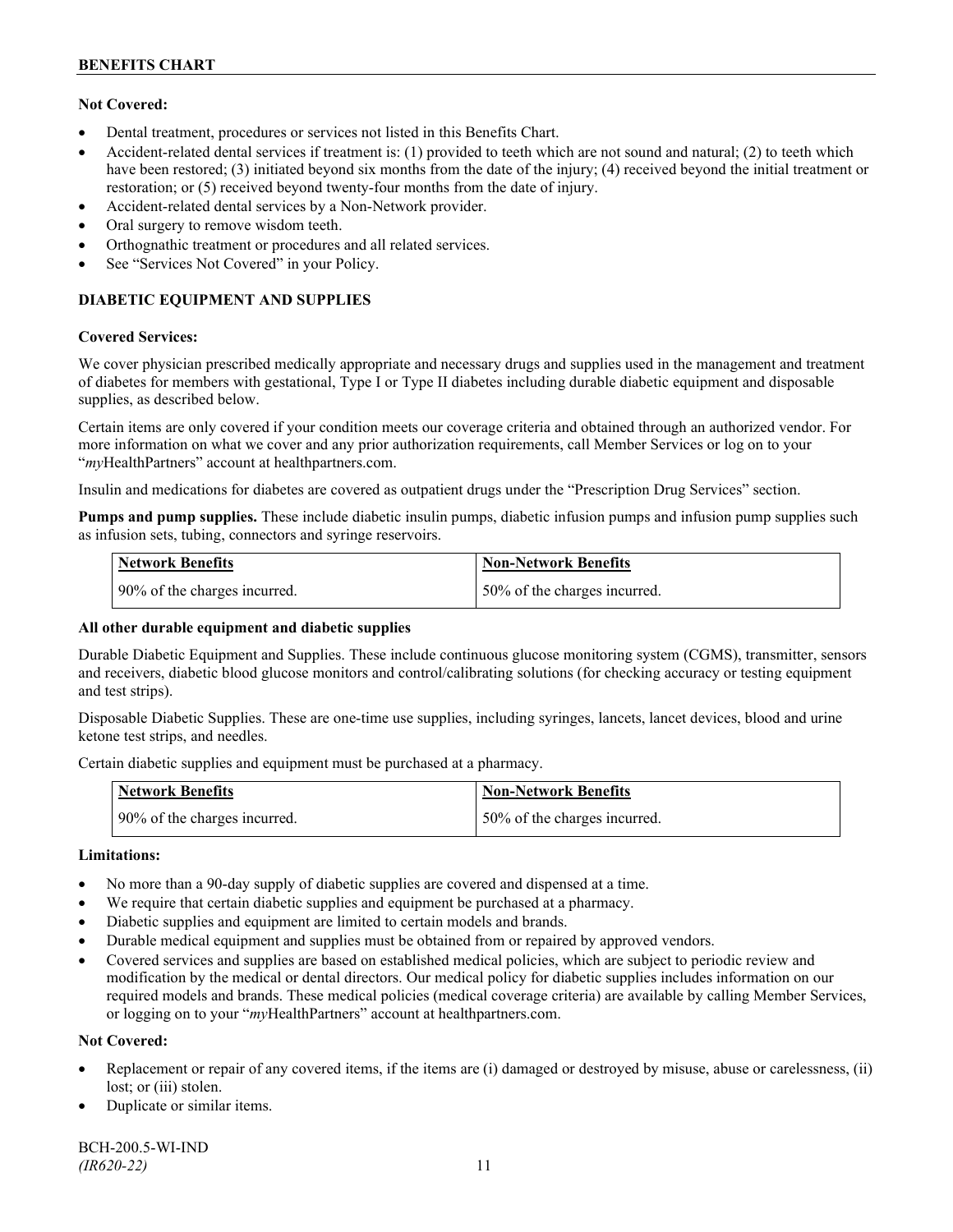## **Not Covered:**

- Dental treatment, procedures or services not listed in this Benefits Chart.
- Accident-related dental services if treatment is: (1) provided to teeth which are not sound and natural; (2) to teeth which have been restored; (3) initiated beyond six months from the date of the injury; (4) received beyond the initial treatment or restoration; or (5) received beyond twenty-four months from the date of injury.
- Accident-related dental services by a Non-Network provider.
- Oral surgery to remove wisdom teeth.
- Orthognathic treatment or procedures and all related services.
- See "Services Not Covered" in your Policy.

## **DIABETIC EQUIPMENT AND SUPPLIES**

#### **Covered Services:**

We cover physician prescribed medically appropriate and necessary drugs and supplies used in the management and treatment of diabetes for members with gestational, Type I or Type II diabetes including durable diabetic equipment and disposable supplies, as described below.

Certain items are only covered if your condition meets our coverage criteria and obtained through an authorized vendor. For more information on what we cover and any prior authorization requirements, call Member Services or log on to your "*my*HealthPartners" account at [healthpartners.com.](http://www.healthpartners.com/)

Insulin and medications for diabetes are covered as outpatient drugs under the "Prescription Drug Services" section.

**Pumps and pump supplies.** These include diabetic insulin pumps, diabetic infusion pumps and infusion pump supplies such as infusion sets, tubing, connectors and syringe reservoirs.

| <b>Network Benefits</b>      | <b>Non-Network Benefits</b>      |
|------------------------------|----------------------------------|
| 90% of the charges incurred. | $150\%$ of the charges incurred. |

## **All other durable equipment and diabetic supplies**

Durable Diabetic Equipment and Supplies. These include continuous glucose monitoring system (CGMS), transmitter, sensors and receivers, diabetic blood glucose monitors and control/calibrating solutions (for checking accuracy or testing equipment and test strips).

Disposable Diabetic Supplies. These are one-time use supplies, including syringes, lancets, lancet devices, blood and urine ketone test strips, and needles.

Certain diabetic supplies and equipment must be purchased at a pharmacy.

| <b>Network Benefits</b>      | <b>Non-Network Benefits</b>  |
|------------------------------|------------------------------|
| 90% of the charges incurred. | 50% of the charges incurred. |

## **Limitations:**

- No more than a 90-day supply of diabetic supplies are covered and dispensed at a time.
- We require that certain diabetic supplies and equipment be purchased at a pharmacy.
- Diabetic supplies and equipment are limited to certain models and brands.
- Durable medical equipment and supplies must be obtained from or repaired by approved vendors.
- Covered services and supplies are based on established medical policies, which are subject to periodic review and modification by the medical or dental directors. Our medical policy for diabetic supplies includes information on our required models and brands. These medical policies (medical coverage criteria) are available by calling Member Services, or logging on to your "*my*HealthPartners" account at healthpartners.com.

## **Not Covered:**

- Replacement or repair of any covered items, if the items are (i) damaged or destroyed by misuse, abuse or carelessness, (ii) lost; or (iii) stolen.
- Duplicate or similar items.

BCH-200.5-WI-IND *(IR620-22)* 11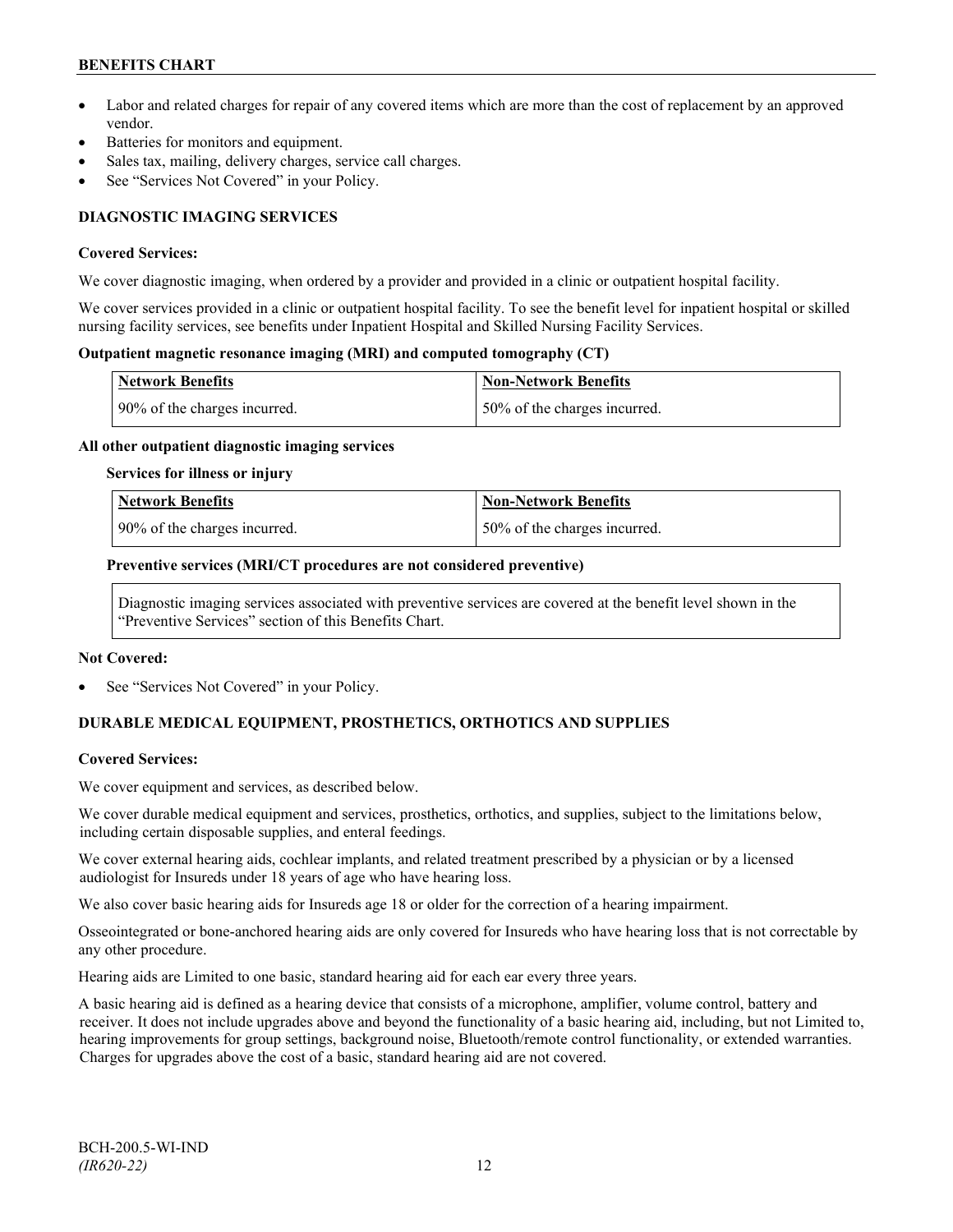## **BENEFITS CHART**

- Labor and related charges for repair of any covered items which are more than the cost of replacement by an approved vendor.
- Batteries for monitors and equipment.
- Sales tax, mailing, delivery charges, service call charges.
- See "Services Not Covered" in your Policy.

## **DIAGNOSTIC IMAGING SERVICES**

#### **Covered Services:**

We cover diagnostic imaging, when ordered by a provider and provided in a clinic or outpatient hospital facility.

We cover services provided in a clinic or outpatient hospital facility. To see the benefit level for inpatient hospital or skilled nursing facility services, see benefits under Inpatient Hospital and Skilled Nursing Facility Services.

#### **Outpatient magnetic resonance imaging (MRI) and computed tomography (CT)**

| <b>Network Benefits</b>      | <b>Non-Network Benefits</b>   |
|------------------------------|-------------------------------|
| 90% of the charges incurred. | 150% of the charges incurred. |

#### **All other outpatient diagnostic imaging services**

#### **Services for illness or injury**

| <b>Network Benefits</b>      | Non-Network Benefits         |
|------------------------------|------------------------------|
| 90% of the charges incurred. | 50% of the charges incurred. |

#### **Preventive services (MRI/CT procedures are not considered preventive)**

Diagnostic imaging services associated with preventive services are covered at the benefit level shown in the "Preventive Services" section of this Benefits Chart.

#### **Not Covered:**

See "Services Not Covered" in your Policy.

## **DURABLE MEDICAL EQUIPMENT, PROSTHETICS, ORTHOTICS AND SUPPLIES**

## **Covered Services:**

We cover equipment and services, as described below.

We cover durable medical equipment and services, prosthetics, orthotics, and supplies, subject to the limitations below, including certain disposable supplies, and enteral feedings.

We cover external hearing aids, cochlear implants, and related treatment prescribed by a physician or by a licensed audiologist for Insureds under 18 years of age who have hearing loss.

We also cover basic hearing aids for Insureds age 18 or older for the correction of a hearing impairment.

Osseointegrated or bone-anchored hearing aids are only covered for Insureds who have hearing loss that is not correctable by any other procedure.

Hearing aids are Limited to one basic, standard hearing aid for each ear every three years.

A basic hearing aid is defined as a hearing device that consists of a microphone, amplifier, volume control, battery and receiver. It does not include upgrades above and beyond the functionality of a basic hearing aid, including, but not Limited to, hearing improvements for group settings, background noise, Bluetooth/remote control functionality, or extended warranties. Charges for upgrades above the cost of a basic, standard hearing aid are not covered.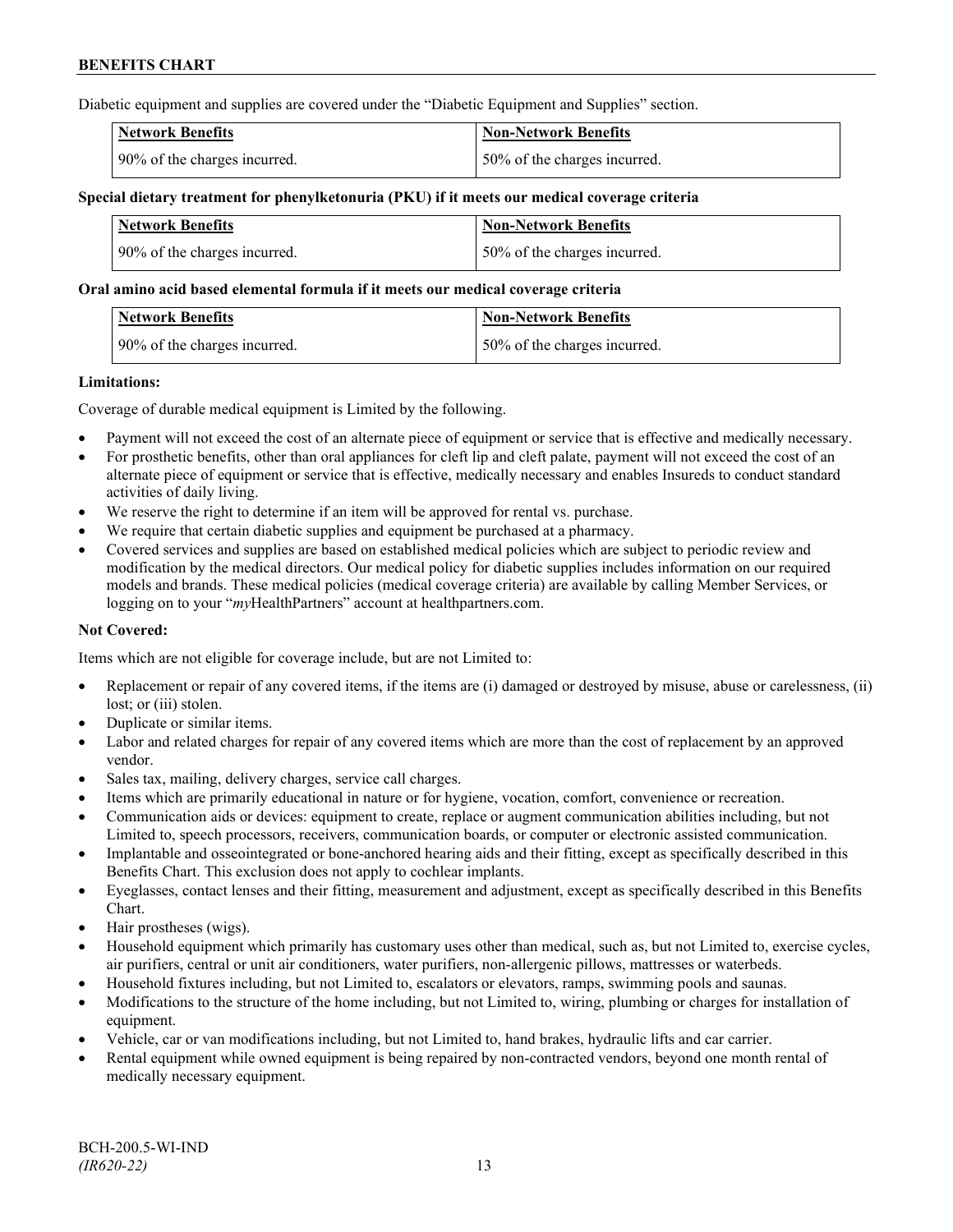Diabetic equipment and supplies are covered under the "Diabetic Equipment and Supplies" section.

| <b>Network Benefits</b>      | <b>Non-Network Benefits</b>  |
|------------------------------|------------------------------|
| 90% of the charges incurred. | 50% of the charges incurred. |

#### **Special dietary treatment for phenylketonuria (PKU) if it meets our medical coverage criteria**

| Network Benefits             | <b>Non-Network Benefits</b>  |
|------------------------------|------------------------------|
| 90% of the charges incurred. | 50% of the charges incurred. |

#### **Oral amino acid based elemental formula if it meets our medical coverage criteria**

| <b>Network Benefits</b>      | Non-Network Benefits         |
|------------------------------|------------------------------|
| 90% of the charges incurred. | 50% of the charges incurred. |

#### **Limitations:**

Coverage of durable medical equipment is Limited by the following.

- Payment will not exceed the cost of an alternate piece of equipment or service that is effective and medically necessary.
- For prosthetic benefits, other than oral appliances for cleft lip and cleft palate, payment will not exceed the cost of an alternate piece of equipment or service that is effective, medically necessary and enables Insureds to conduct standard activities of daily living.
- We reserve the right to determine if an item will be approved for rental vs. purchase.
- We require that certain diabetic supplies and equipment be purchased at a pharmacy.
- Covered services and supplies are based on established medical policies which are subject to periodic review and modification by the medical directors. Our medical policy for diabetic supplies includes information on our required models and brands. These medical policies (medical coverage criteria) are available by calling Member Services, or logging on to your "*my*HealthPartners" account at [healthpartners.com.](http://www.healthpartners.com/)

## **Not Covered:**

Items which are not eligible for coverage include, but are not Limited to:

- Replacement or repair of any covered items, if the items are (i) damaged or destroyed by misuse, abuse or carelessness, (ii) lost; or (iii) stolen.
- Duplicate or similar items.
- Labor and related charges for repair of any covered items which are more than the cost of replacement by an approved vendor.
- Sales tax, mailing, delivery charges, service call charges.
- Items which are primarily educational in nature or for hygiene, vocation, comfort, convenience or recreation.
- Communication aids or devices: equipment to create, replace or augment communication abilities including, but not Limited to, speech processors, receivers, communication boards, or computer or electronic assisted communication.
- Implantable and osseointegrated or bone-anchored hearing aids and their fitting, except as specifically described in this Benefits Chart. This exclusion does not apply to cochlear implants.
- Eyeglasses, contact lenses and their fitting, measurement and adjustment, except as specifically described in this Benefits Chart.
- Hair prostheses (wigs).
- Household equipment which primarily has customary uses other than medical, such as, but not Limited to, exercise cycles, air purifiers, central or unit air conditioners, water purifiers, non-allergenic pillows, mattresses or waterbeds.
- Household fixtures including, but not Limited to, escalators or elevators, ramps, swimming pools and saunas.
- Modifications to the structure of the home including, but not Limited to, wiring, plumbing or charges for installation of equipment.
- Vehicle, car or van modifications including, but not Limited to, hand brakes, hydraulic lifts and car carrier.
- Rental equipment while owned equipment is being repaired by non-contracted vendors, beyond one month rental of medically necessary equipment.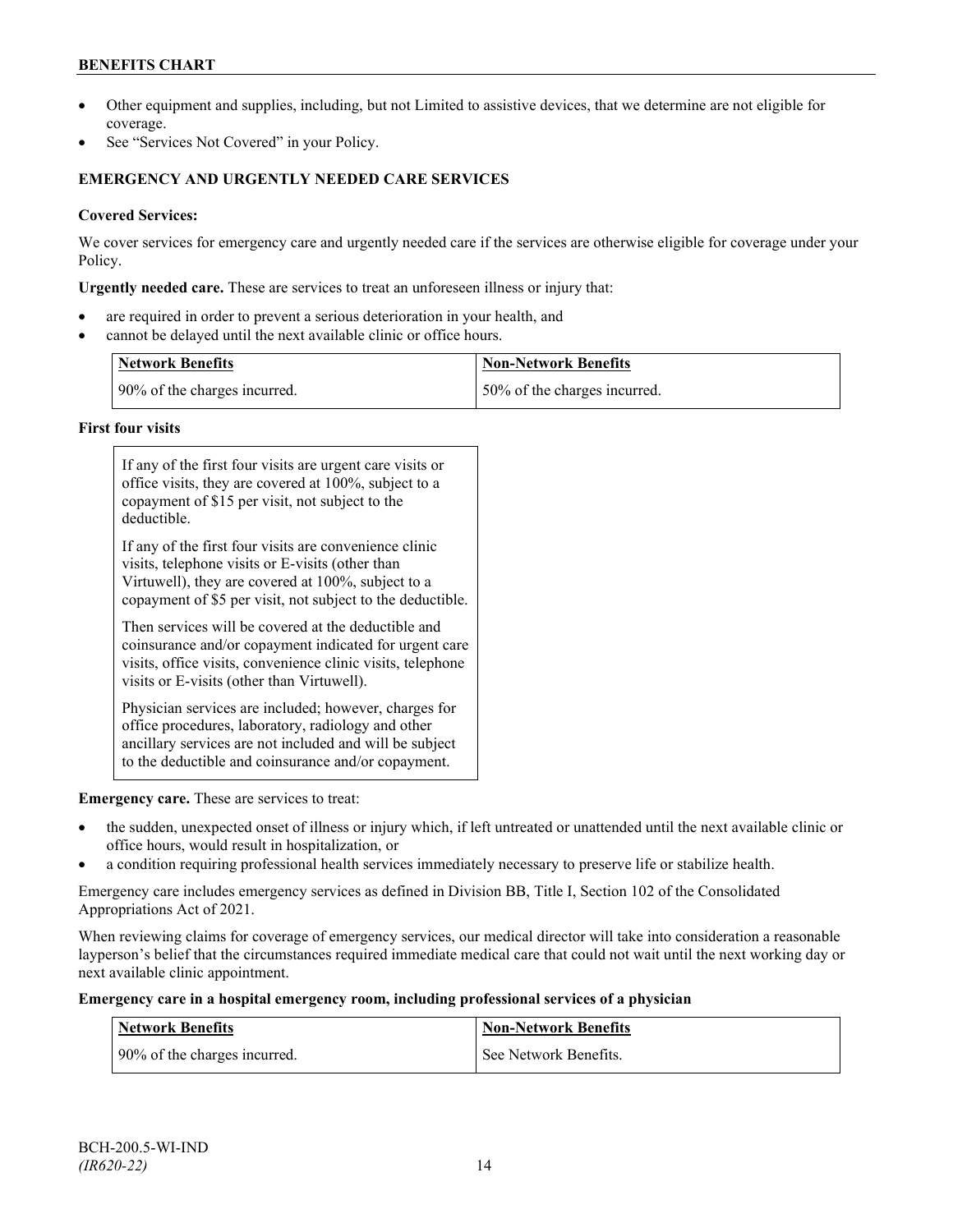## **BENEFITS CHART**

- Other equipment and supplies, including, but not Limited to assistive devices, that we determine are not eligible for coverage.
- See "Services Not Covered" in your Policy.

## **EMERGENCY AND URGENTLY NEEDED CARE SERVICES**

## **Covered Services:**

We cover services for emergency care and urgently needed care if the services are otherwise eligible for coverage under your Policy.

**Urgently needed care.** These are services to treat an unforeseen illness or injury that:

- are required in order to prevent a serious deterioration in your health, and
- cannot be delayed until the next available clinic or office hours.

| <b>Network Benefits</b>      | <b>Non-Network Benefits</b>  |
|------------------------------|------------------------------|
| 90% of the charges incurred. | 50% of the charges incurred. |

## **First four visits**

| If any of the first four visits are urgent care visits or<br>office visits, they are covered at 100%, subject to a<br>copayment of \$15 per visit, not subject to the<br>deductible.                                           |  |
|--------------------------------------------------------------------------------------------------------------------------------------------------------------------------------------------------------------------------------|--|
| If any of the first four visits are convenience clinic<br>visits, telephone visits or E-visits (other than<br>Virtuwell), they are covered at 100%, subject to a<br>copayment of \$5 per visit, not subject to the deductible. |  |
| Then services will be covered at the deductible and<br>coinsurance and/or copayment indicated for urgent care<br>visits, office visits, convenience clinic visits, telephone<br>visits or E-visits (other than Virtuwell).     |  |
| Physician services are included; however, charges for<br>office procedures, laboratory, radiology and other<br>ancillary services are not included and will be subject<br>to the deductible and coinsurance and/or copayment.  |  |

**Emergency care.** These are services to treat:

- the sudden, unexpected onset of illness or injury which, if left untreated or unattended until the next available clinic or office hours, would result in hospitalization, or
- a condition requiring professional health services immediately necessary to preserve life or stabilize health.

Emergency care includes emergency services as defined in Division BB, Title I, Section 102 of the Consolidated Appropriations Act of 2021.

When reviewing claims for coverage of emergency services, our medical director will take into consideration a reasonable layperson's belief that the circumstances required immediate medical care that could not wait until the next working day or next available clinic appointment.

**Emergency care in a hospital emergency room, including professional services of a physician**

| <b>Network Benefits</b>      | <b>Non-Network Benefits</b> |
|------------------------------|-----------------------------|
| 90% of the charges incurred. | See Network Benefits.       |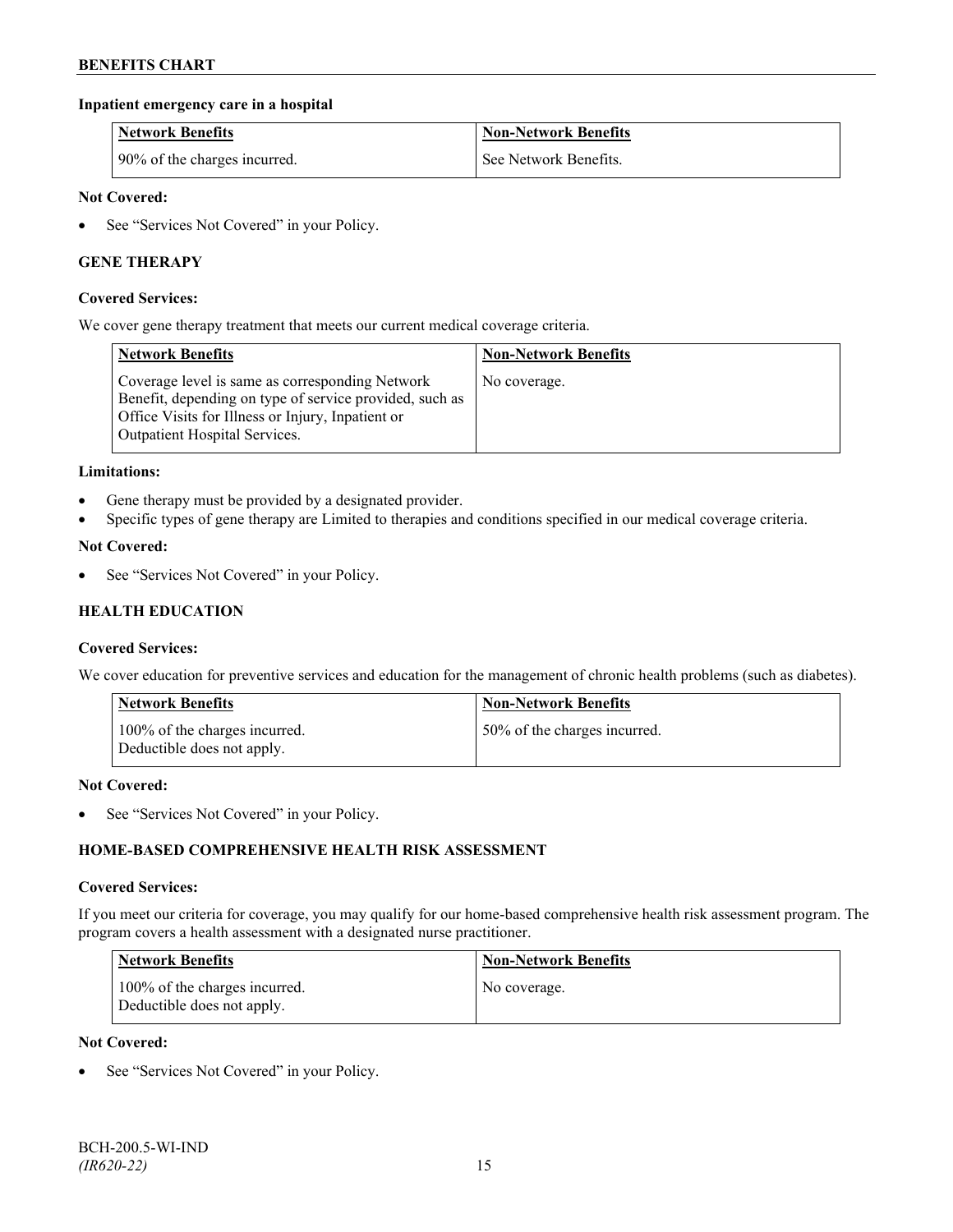## **Inpatient emergency care in a hospital**

| <b>Network Benefits</b>      | <b>Non-Network Benefits</b> |
|------------------------------|-----------------------------|
| 90% of the charges incurred. | See Network Benefits.       |

#### **Not Covered:**

• See "Services Not Covered" in your Policy.

## **GENE THERAPY**

#### **Covered Services:**

We cover gene therapy treatment that meets our current medical coverage criteria.

| <b>Network Benefits</b>                                                                                                                                                                                 | <b>Non-Network Benefits</b> |
|---------------------------------------------------------------------------------------------------------------------------------------------------------------------------------------------------------|-----------------------------|
| Coverage level is same as corresponding Network<br>Benefit, depending on type of service provided, such as<br>Office Visits for Illness or Injury, Inpatient or<br><b>Outpatient Hospital Services.</b> | No coverage.                |

#### **Limitations:**

- Gene therapy must be provided by a designated provider.
- Specific types of gene therapy are Limited to therapies and conditions specified in our medical coverage criteria.

#### **Not Covered:**

See "Services Not Covered" in your Policy.

## **HEALTH EDUCATION**

#### **Covered Services:**

We cover education for preventive services and education for the management of chronic health problems (such as diabetes).

| <b>Network Benefits</b>                                     | <b>Non-Network Benefits</b>  |
|-------------------------------------------------------------|------------------------------|
| 100% of the charges incurred.<br>Deductible does not apply. | 50% of the charges incurred. |

#### **Not Covered:**

• See "Services Not Covered" in your Policy.

## **HOME-BASED COMPREHENSIVE HEALTH RISK ASSESSMENT**

#### **Covered Services:**

If you meet our criteria for coverage, you may qualify for our home-based comprehensive health risk assessment program. The program covers a health assessment with a designated nurse practitioner.

| <b>Network Benefits</b>                                     | <b>Non-Network Benefits</b> |
|-------------------------------------------------------------|-----------------------------|
| 100% of the charges incurred.<br>Deductible does not apply. | No coverage.                |

#### **Not Covered:**

See "Services Not Covered" in your Policy.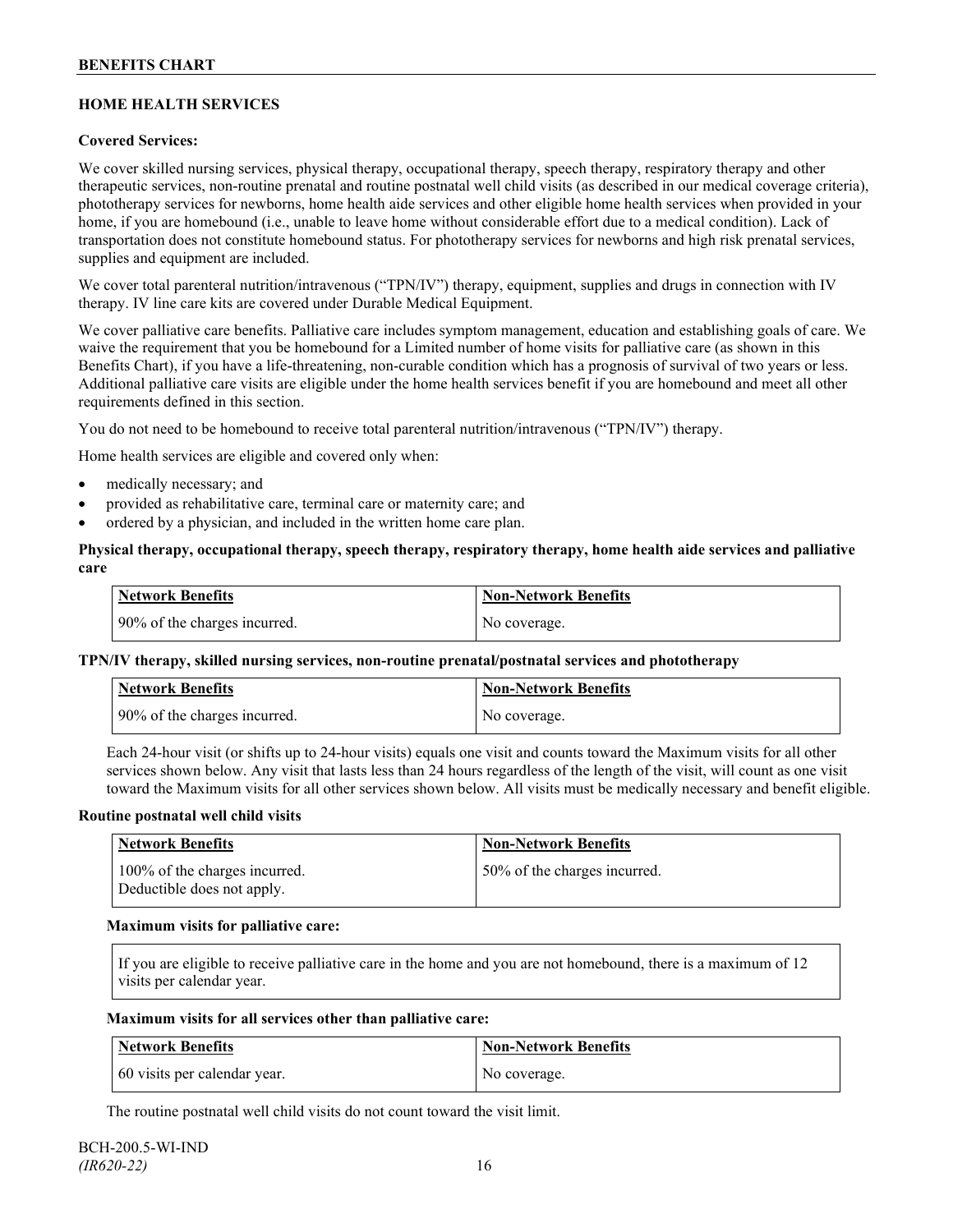## **HOME HEALTH SERVICES**

## **Covered Services:**

We cover skilled nursing services, physical therapy, occupational therapy, speech therapy, respiratory therapy and other therapeutic services, non-routine prenatal and routine postnatal well child visits (as described in our medical coverage criteria), phototherapy services for newborns, home health aide services and other eligible home health services when provided in your home, if you are homebound (i.e., unable to leave home without considerable effort due to a medical condition). Lack of transportation does not constitute homebound status. For phototherapy services for newborns and high risk prenatal services, supplies and equipment are included.

We cover total parenteral nutrition/intravenous ("TPN/IV") therapy, equipment, supplies and drugs in connection with IV therapy. IV line care kits are covered under Durable Medical Equipment.

We cover palliative care benefits. Palliative care includes symptom management, education and establishing goals of care. We waive the requirement that you be homebound for a Limited number of home visits for palliative care (as shown in this Benefits Chart), if you have a life-threatening, non-curable condition which has a prognosis of survival of two years or less. Additional palliative care visits are eligible under the home health services benefit if you are homebound and meet all other requirements defined in this section.

You do not need to be homebound to receive total parenteral nutrition/intravenous ("TPN/IV") therapy.

Home health services are eligible and covered only when:

- medically necessary; and
- provided as rehabilitative care, terminal care or maternity care; and
- ordered by a physician, and included in the written home care plan.

#### **Physical therapy, occupational therapy, speech therapy, respiratory therapy, home health aide services and palliative care**

| <b>Network Benefits</b>      | <b>Non-Network Benefits</b> |
|------------------------------|-----------------------------|
| 90% of the charges incurred. | No coverage.                |

## **TPN/IV therapy, skilled nursing services, non-routine prenatal/postnatal services and phototherapy**

| Network Benefits             | <b>Non-Network Benefits</b> |
|------------------------------|-----------------------------|
| 90% of the charges incurred. | No coverage.                |

Each 24-hour visit (or shifts up to 24-hour visits) equals one visit and counts toward the Maximum visits for all other services shown below. Any visit that lasts less than 24 hours regardless of the length of the visit, will count as one visit toward the Maximum visits for all other services shown below. All visits must be medically necessary and benefit eligible.

#### **Routine postnatal well child visits**

| Network Benefits                                            | <b>Non-Network Benefits</b>  |
|-------------------------------------------------------------|------------------------------|
| 100% of the charges incurred.<br>Deductible does not apply. | 50% of the charges incurred. |

#### **Maximum visits for palliative care:**

If you are eligible to receive palliative care in the home and you are not homebound, there is a maximum of 12 visits per calendar year.

#### **Maximum visits for all services other than palliative care:**

| Network Benefits             | Non-Network Benefits |
|------------------------------|----------------------|
| 60 visits per calendar year. | No coverage.         |

The routine postnatal well child visits do not count toward the visit limit.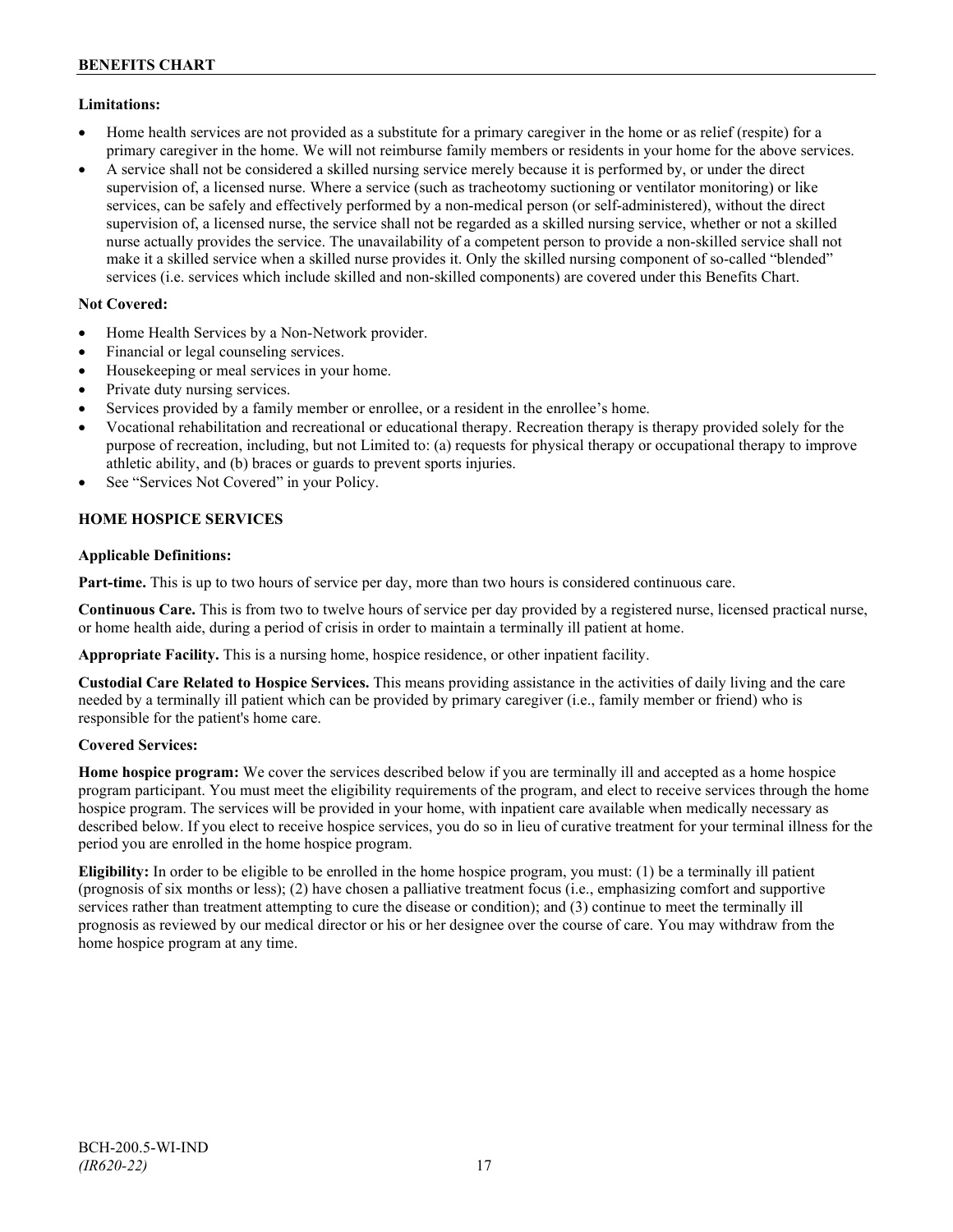## **Limitations:**

- Home health services are not provided as a substitute for a primary caregiver in the home or as relief (respite) for a primary caregiver in the home. We will not reimburse family members or residents in your home for the above services.
- A service shall not be considered a skilled nursing service merely because it is performed by, or under the direct supervision of, a licensed nurse. Where a service (such as tracheotomy suctioning or ventilator monitoring) or like services, can be safely and effectively performed by a non-medical person (or self-administered), without the direct supervision of, a licensed nurse, the service shall not be regarded as a skilled nursing service, whether or not a skilled nurse actually provides the service. The unavailability of a competent person to provide a non-skilled service shall not make it a skilled service when a skilled nurse provides it. Only the skilled nursing component of so-called "blended" services (i.e. services which include skilled and non-skilled components) are covered under this Benefits Chart.

## **Not Covered:**

- Home Health Services by a Non-Network provider.
- Financial or legal counseling services.
- Housekeeping or meal services in your home.
- Private duty nursing services.
- Services provided by a family member or enrollee, or a resident in the enrollee's home.
- Vocational rehabilitation and recreational or educational therapy. Recreation therapy is therapy provided solely for the purpose of recreation, including, but not Limited to: (a) requests for physical therapy or occupational therapy to improve athletic ability, and (b) braces or guards to prevent sports injuries.
- See "Services Not Covered" in your Policy.

## **HOME HOSPICE SERVICES**

## **Applicable Definitions:**

**Part-time.** This is up to two hours of service per day, more than two hours is considered continuous care.

**Continuous Care.** This is from two to twelve hours of service per day provided by a registered nurse, licensed practical nurse, or home health aide, during a period of crisis in order to maintain a terminally ill patient at home.

**Appropriate Facility.** This is a nursing home, hospice residence, or other inpatient facility.

**Custodial Care Related to Hospice Services.** This means providing assistance in the activities of daily living and the care needed by a terminally ill patient which can be provided by primary caregiver (i.e., family member or friend) who is responsible for the patient's home care.

## **Covered Services:**

**Home hospice program:** We cover the services described below if you are terminally ill and accepted as a home hospice program participant. You must meet the eligibility requirements of the program, and elect to receive services through the home hospice program. The services will be provided in your home, with inpatient care available when medically necessary as described below. If you elect to receive hospice services, you do so in lieu of curative treatment for your terminal illness for the period you are enrolled in the home hospice program.

**Eligibility:** In order to be eligible to be enrolled in the home hospice program, you must: (1) be a terminally ill patient (prognosis of six months or less); (2) have chosen a palliative treatment focus (i.e., emphasizing comfort and supportive services rather than treatment attempting to cure the disease or condition); and (3) continue to meet the terminally ill prognosis as reviewed by our medical director or his or her designee over the course of care. You may withdraw from the home hospice program at any time.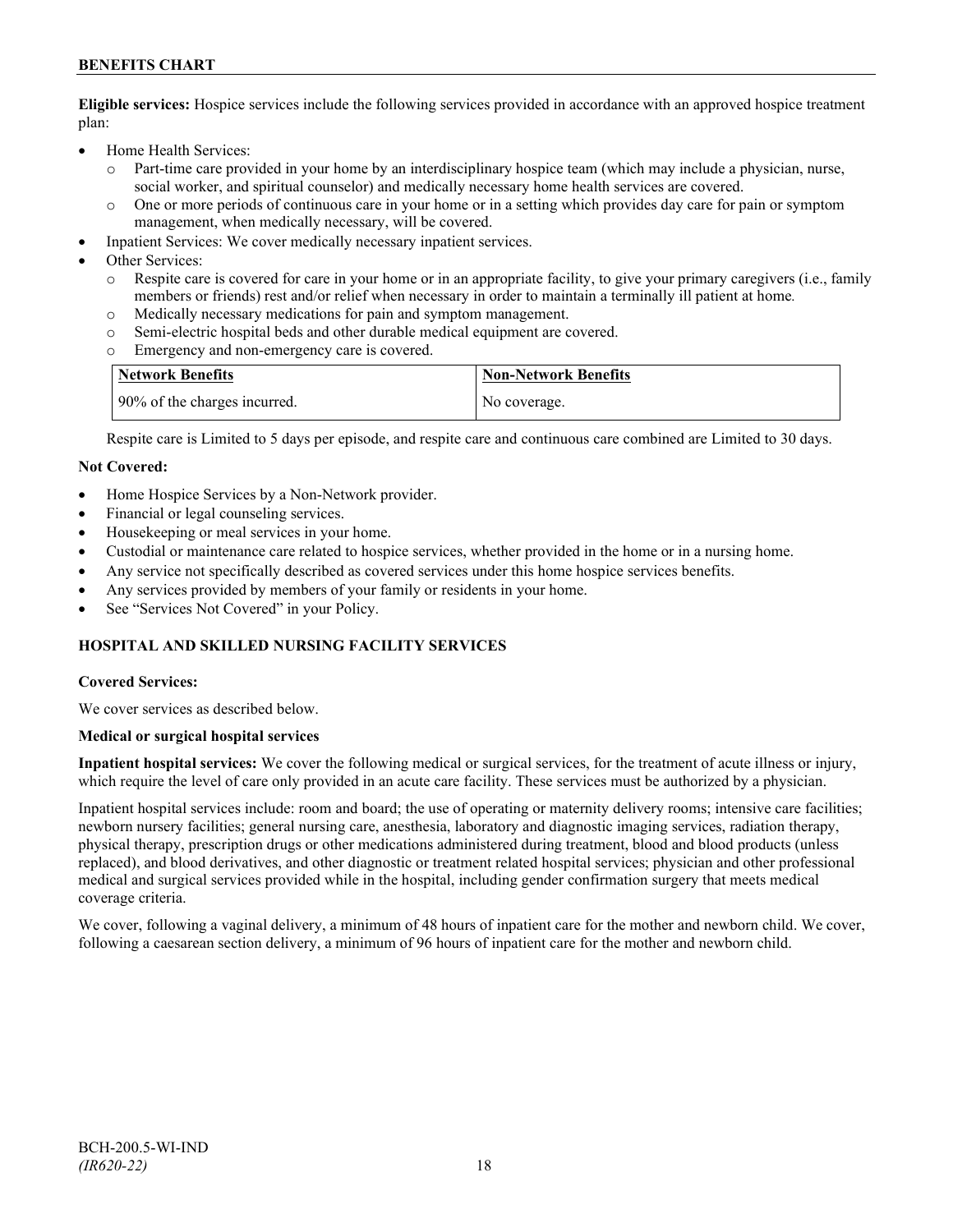## **BENEFITS CHART**

**Eligible services:** Hospice services include the following services provided in accordance with an approved hospice treatment plan:

- Home Health Services:
	- o Part-time care provided in your home by an interdisciplinary hospice team (which may include a physician, nurse, social worker, and spiritual counselor) and medically necessary home health services are covered.
	- o One or more periods of continuous care in your home or in a setting which provides day care for pain or symptom management, when medically necessary, will be covered.
- Inpatient Services: We cover medically necessary inpatient services.
- Other Services:
	- Respite care is covered for care in your home or in an appropriate facility, to give your primary caregivers (i.e., family members or friends) rest and/or relief when necessary in order to maintain a terminally ill patient at home*.*
	- o Medically necessary medications for pain and symptom management.
	- o Semi-electric hospital beds and other durable medical equipment are covered.
	- Emergency and non-emergency care is covered.

| Network Benefits             | <b>Non-Network Benefits</b> |
|------------------------------|-----------------------------|
| 90% of the charges incurred. | No coverage.                |

Respite care is Limited to 5 days per episode, and respite care and continuous care combined are Limited to 30 days.

#### **Not Covered:**

- Home Hospice Services by a Non-Network provider.
- Financial or legal counseling services.
- Housekeeping or meal services in your home.
- Custodial or maintenance care related to hospice services, whether provided in the home or in a nursing home.
- Any service not specifically described as covered services under this home hospice services benefits.
- Any services provided by members of your family or residents in your home.
- See "Services Not Covered" in your Policy.

## **HOSPITAL AND SKILLED NURSING FACILITY SERVICES**

#### **Covered Services:**

We cover services as described below.

#### **Medical or surgical hospital services**

**Inpatient hospital services:** We cover the following medical or surgical services, for the treatment of acute illness or injury, which require the level of care only provided in an acute care facility. These services must be authorized by a physician.

Inpatient hospital services include: room and board; the use of operating or maternity delivery rooms; intensive care facilities; newborn nursery facilities; general nursing care, anesthesia, laboratory and diagnostic imaging services, radiation therapy, physical therapy, prescription drugs or other medications administered during treatment, blood and blood products (unless replaced), and blood derivatives, and other diagnostic or treatment related hospital services; physician and other professional medical and surgical services provided while in the hospital, including gender confirmation surgery that meets medical coverage criteria.

We cover, following a vaginal delivery, a minimum of 48 hours of inpatient care for the mother and newborn child. We cover, following a caesarean section delivery, a minimum of 96 hours of inpatient care for the mother and newborn child.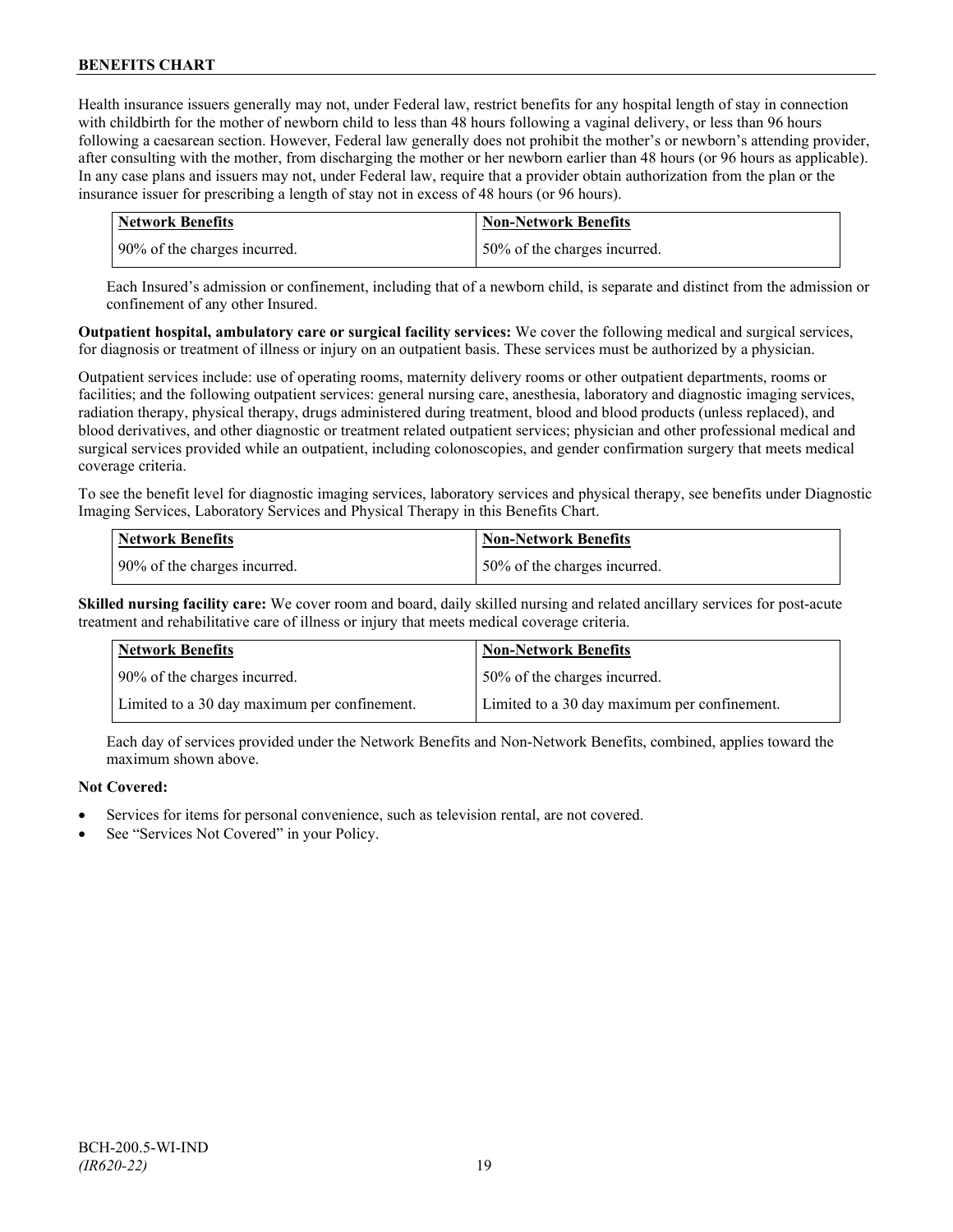Health insurance issuers generally may not, under Federal law, restrict benefits for any hospital length of stay in connection with childbirth for the mother of newborn child to less than 48 hours following a vaginal delivery, or less than 96 hours following a caesarean section. However, Federal law generally does not prohibit the mother's or newborn's attending provider, after consulting with the mother, from discharging the mother or her newborn earlier than 48 hours (or 96 hours as applicable). In any case plans and issuers may not, under Federal law, require that a provider obtain authorization from the plan or the insurance issuer for prescribing a length of stay not in excess of 48 hours (or 96 hours).

| Network Benefits               | <b>Non-Network Benefits</b>  |
|--------------------------------|------------------------------|
| 1 90% of the charges incurred. | 50% of the charges incurred. |

Each Insured's admission or confinement, including that of a newborn child, is separate and distinct from the admission or confinement of any other Insured.

**Outpatient hospital, ambulatory care or surgical facility services:** We cover the following medical and surgical services, for diagnosis or treatment of illness or injury on an outpatient basis. These services must be authorized by a physician.

Outpatient services include: use of operating rooms, maternity delivery rooms or other outpatient departments, rooms or facilities; and the following outpatient services: general nursing care, anesthesia, laboratory and diagnostic imaging services, radiation therapy, physical therapy, drugs administered during treatment, blood and blood products (unless replaced), and blood derivatives, and other diagnostic or treatment related outpatient services; physician and other professional medical and surgical services provided while an outpatient, including colonoscopies, and gender confirmation surgery that meets medical coverage criteria.

To see the benefit level for diagnostic imaging services, laboratory services and physical therapy, see benefits under Diagnostic Imaging Services, Laboratory Services and Physical Therapy in this Benefits Chart.

| <b>Network Benefits</b>      | <b>Non-Network Benefits</b>  |
|------------------------------|------------------------------|
| 90% of the charges incurred. | 50% of the charges incurred. |

**Skilled nursing facility care:** We cover room and board, daily skilled nursing and related ancillary services for post-acute treatment and rehabilitative care of illness or injury that meets medical coverage criteria.

| <b>Network Benefits</b>                      | <b>Non-Network Benefits</b>                  |
|----------------------------------------------|----------------------------------------------|
| 90% of the charges incurred.                 | 50% of the charges incurred.                 |
| Limited to a 30 day maximum per confinement. | Limited to a 30 day maximum per confinement. |

Each day of services provided under the Network Benefits and Non-Network Benefits, combined, applies toward the maximum shown above.

## **Not Covered:**

- Services for items for personal convenience, such as television rental, are not covered.
- See "Services Not Covered" in your Policy.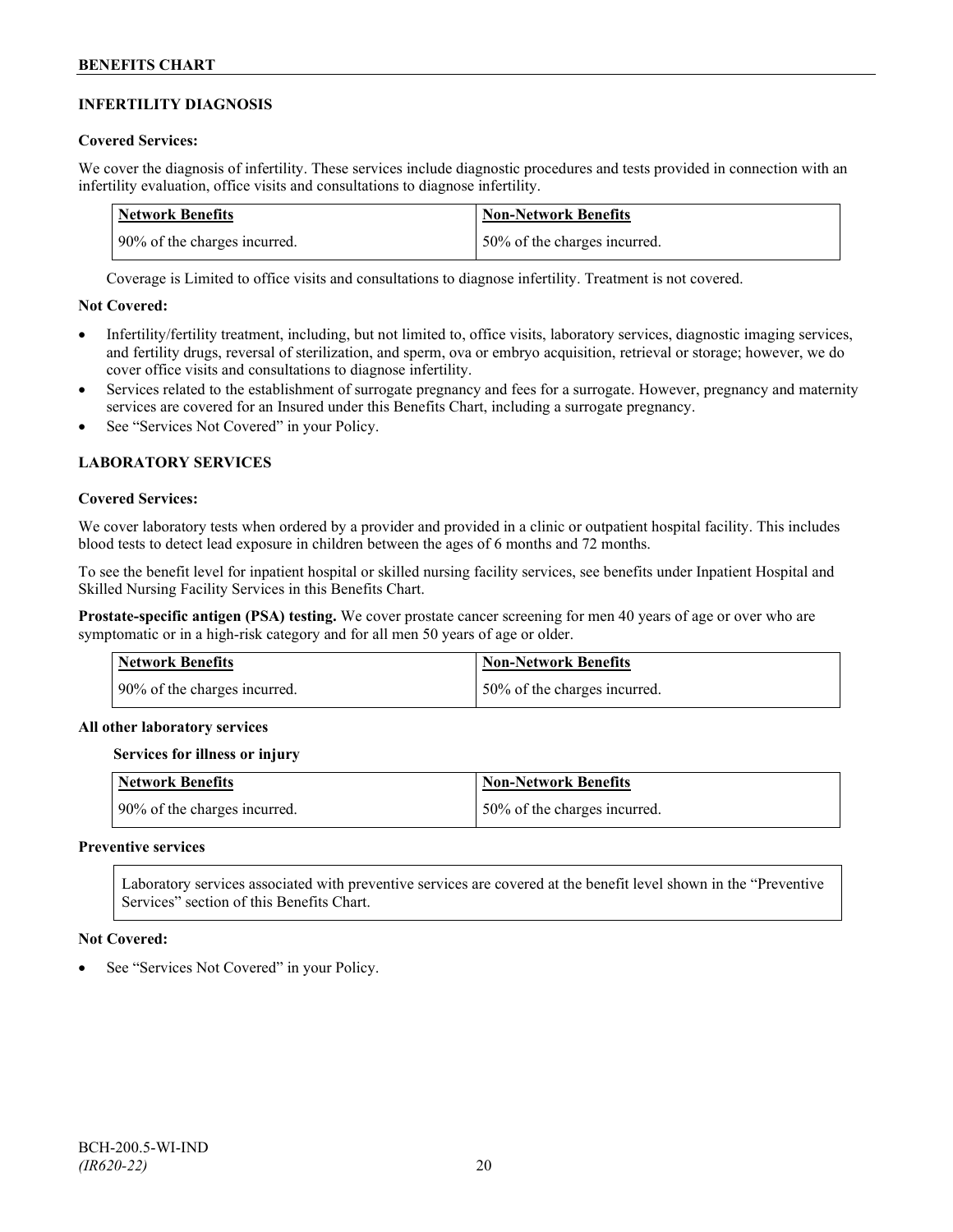## **INFERTILITY DIAGNOSIS**

## **Covered Services:**

We cover the diagnosis of infertility. These services include diagnostic procedures and tests provided in connection with an infertility evaluation, office visits and consultations to diagnose infertility.

| Network Benefits             | <b>Non-Network Benefits</b>  |
|------------------------------|------------------------------|
| 90% of the charges incurred. | 50% of the charges incurred. |

Coverage is Limited to office visits and consultations to diagnose infertility. Treatment is not covered.

## **Not Covered:**

- Infertility/fertility treatment, including, but not limited to, office visits, laboratory services, diagnostic imaging services, and fertility drugs, reversal of sterilization, and sperm, ova or embryo acquisition, retrieval or storage; however, we do cover office visits and consultations to diagnose infertility.
- Services related to the establishment of surrogate pregnancy and fees for a surrogate. However, pregnancy and maternity services are covered for an Insured under this Benefits Chart, including a surrogate pregnancy.
- See "Services Not Covered" in your Policy.

## **LABORATORY SERVICES**

#### **Covered Services:**

We cover laboratory tests when ordered by a provider and provided in a clinic or outpatient hospital facility. This includes blood tests to detect lead exposure in children between the ages of 6 months and 72 months.

To see the benefit level for inpatient hospital or skilled nursing facility services, see benefits under Inpatient Hospital and Skilled Nursing Facility Services in this Benefits Chart.

**Prostate-specific antigen (PSA) testing.** We cover prostate cancer screening for men 40 years of age or over who are symptomatic or in a high-risk category and for all men 50 years of age or older.

| Network Benefits             | Non-Network Benefits         |
|------------------------------|------------------------------|
| 90% of the charges incurred. | 50% of the charges incurred. |

#### **All other laboratory services**

#### **Services for illness or injury**

| <b>Network Benefits</b>      | <b>Non-Network Benefits</b>  |
|------------------------------|------------------------------|
| 90% of the charges incurred. | 50% of the charges incurred. |

#### **Preventive services**

Laboratory services associated with preventive services are covered at the benefit level shown in the "Preventive Services" section of this Benefits Chart.

#### **Not Covered:**

See "Services Not Covered" in your Policy.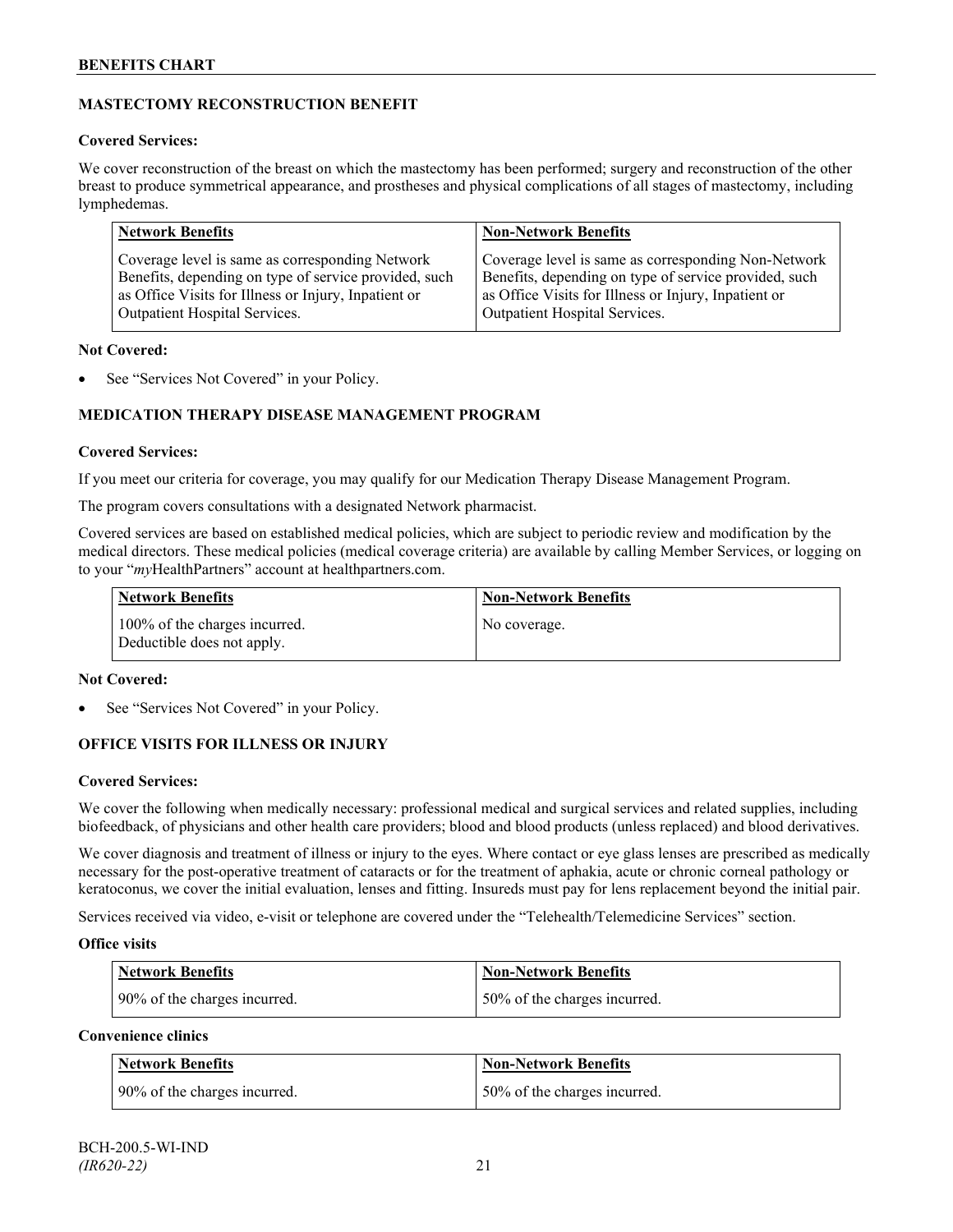## **MASTECTOMY RECONSTRUCTION BENEFIT**

## **Covered Services:**

We cover reconstruction of the breast on which the mastectomy has been performed; surgery and reconstruction of the other breast to produce symmetrical appearance, and prostheses and physical complications of all stages of mastectomy, including lymphedemas.

| <b>Network Benefits</b>                               | <b>Non-Network Benefits</b>                           |
|-------------------------------------------------------|-------------------------------------------------------|
| Coverage level is same as corresponding Network       | Coverage level is same as corresponding Non-Network   |
| Benefits, depending on type of service provided, such | Benefits, depending on type of service provided, such |
| as Office Visits for Illness or Injury, Inpatient or  | as Office Visits for Illness or Injury, Inpatient or  |
| Outpatient Hospital Services.                         | Outpatient Hospital Services.                         |

## **Not Covered:**

See "Services Not Covered" in your Policy.

## **MEDICATION THERAPY DISEASE MANAGEMENT PROGRAM**

## **Covered Services:**

If you meet our criteria for coverage, you may qualify for our Medication Therapy Disease Management Program.

The program covers consultations with a designated Network pharmacist.

Covered services are based on established medical policies, which are subject to periodic review and modification by the medical directors. These medical policies (medical coverage criteria) are available by calling Member Services, or logging on to your "*my*HealthPartners" account at [healthpartners.com.](http://www.healthpartners.com/)

| <b>Network Benefits</b>                                     | <b>Non-Network Benefits</b> |
|-------------------------------------------------------------|-----------------------------|
| 100% of the charges incurred.<br>Deductible does not apply. | No coverage.                |

## **Not Covered:**

See "Services Not Covered" in your Policy.

## **OFFICE VISITS FOR ILLNESS OR INJURY**

## **Covered Services:**

We cover the following when medically necessary: professional medical and surgical services and related supplies, including biofeedback, of physicians and other health care providers; blood and blood products (unless replaced) and blood derivatives.

We cover diagnosis and treatment of illness or injury to the eyes. Where contact or eye glass lenses are prescribed as medically necessary for the post-operative treatment of cataracts or for the treatment of aphakia, acute or chronic corneal pathology or keratoconus, we cover the initial evaluation, lenses and fitting. Insureds must pay for lens replacement beyond the initial pair.

Services received via video, e-visit or telephone are covered under the "Telehealth/Telemedicine Services" section.

## **Office visits**

| Network Benefits             | <b>Non-Network Benefits</b>  |
|------------------------------|------------------------------|
| 90% of the charges incurred. | 50% of the charges incurred. |

## **Convenience clinics**

| <b>Network Benefits</b>      | <b>Non-Network Benefits</b>  |
|------------------------------|------------------------------|
| 90% of the charges incurred. | 50% of the charges incurred. |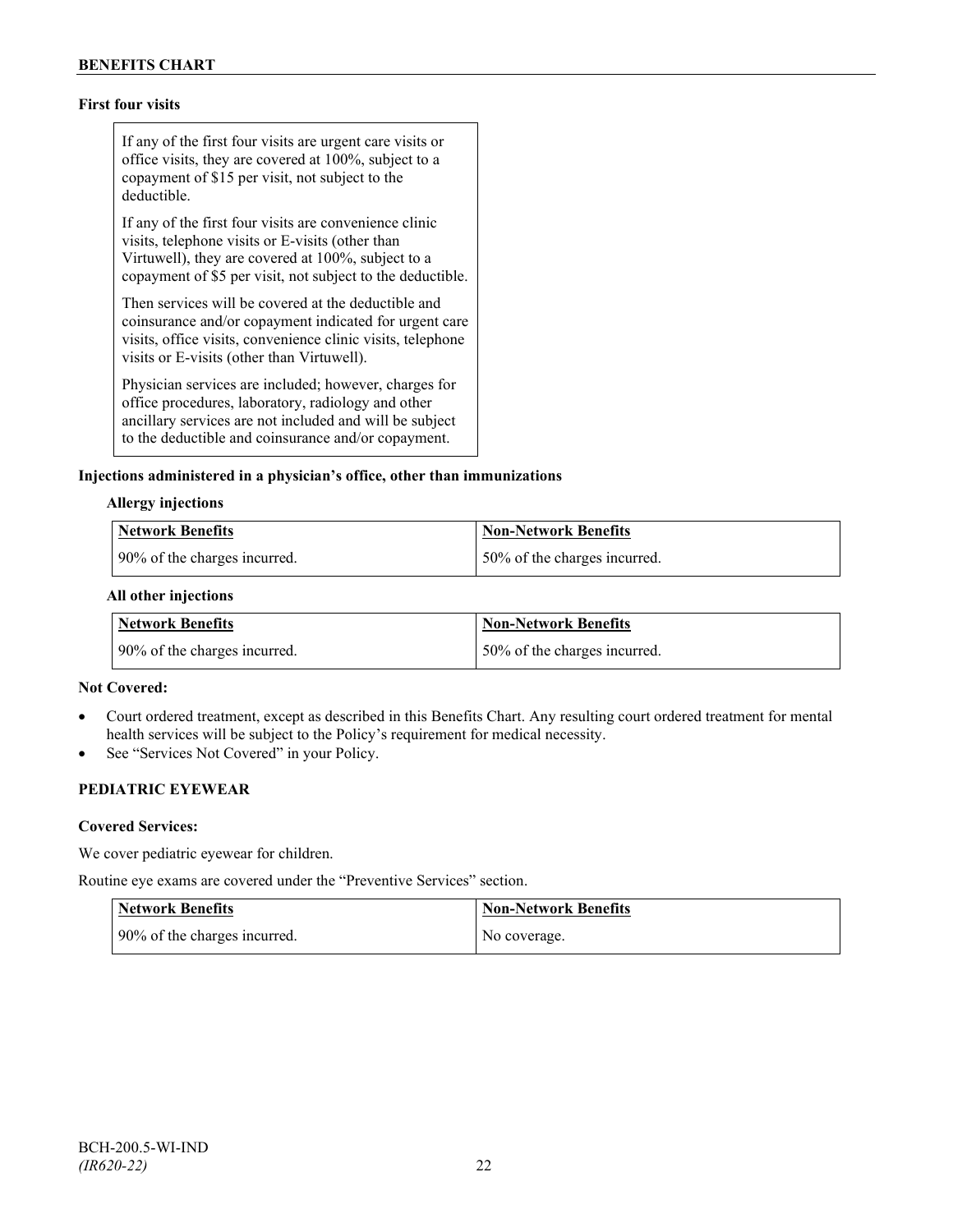## **First four visits**

If any of the first four visits are urgent care visits or office visits, they are covered at 100%, subject to a copayment of \$15 per visit, not subject to the deductible.

If any of the first four visits are convenience clinic visits, telephone visits or E-visits (other than Virtuwell), they are covered at 100%, subject to a copayment of \$5 per visit, not subject to the deductible.

Then services will be covered at the deductible and coinsurance and/or copayment indicated for urgent care visits, office visits, convenience clinic visits, telephone visits or E-visits (other than Virtuwell).

Physician services are included; however, charges for office procedures, laboratory, radiology and other ancillary services are not included and will be subject to the deductible and coinsurance and/or copayment.

## **Injections administered in a physician's office, other than immunizations**

## **Allergy injections**

| Network Benefits             | <b>Non-Network Benefits</b>  |
|------------------------------|------------------------------|
| 90% of the charges incurred. | 50% of the charges incurred. |

#### **All other injections**

| <b>Network Benefits</b>      | Non-Network Benefits         |
|------------------------------|------------------------------|
| 90% of the charges incurred. | 50% of the charges incurred. |

## **Not Covered:**

- Court ordered treatment, except as described in this Benefits Chart. Any resulting court ordered treatment for mental health services will be subject to the Policy's requirement for medical necessity.
- See "Services Not Covered" in your Policy.

## **PEDIATRIC EYEWEAR**

## **Covered Services:**

We cover pediatric eyewear for children.

Routine eye exams are covered under the "Preventive Services" section.

| <b>Network Benefits</b>      | <b>Non-Network Benefits</b> |
|------------------------------|-----------------------------|
| 90% of the charges incurred. | No coverage.                |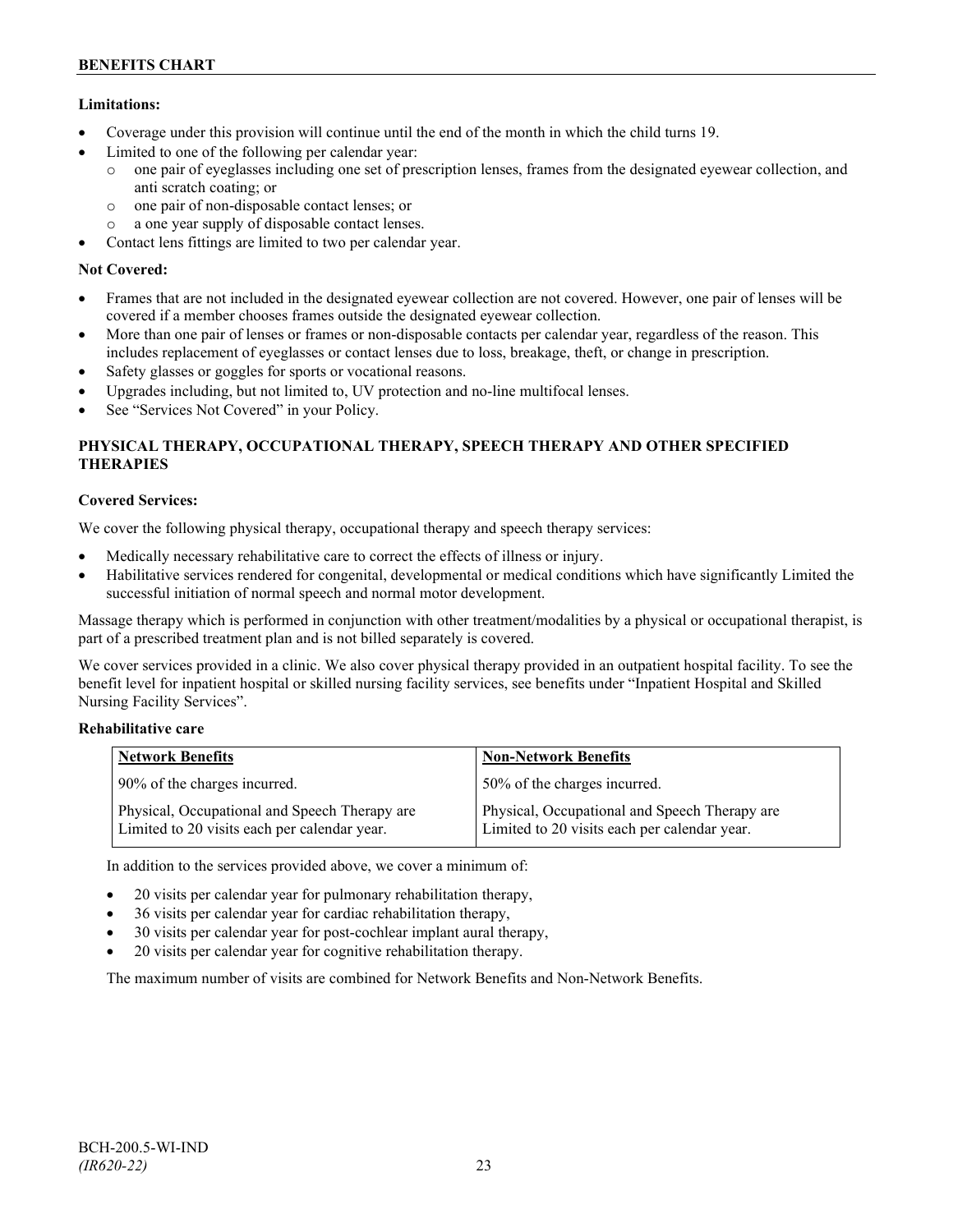## **Limitations:**

- Coverage under this provision will continue until the end of the month in which the child turns 19.
- Limited to one of the following per calendar year:
	- o one pair of eyeglasses including one set of prescription lenses, frames from the designated eyewear collection, and anti scratch coating; or
	- o one pair of non-disposable contact lenses; or
	- o a one year supply of disposable contact lenses.
- Contact lens fittings are limited to two per calendar year.

## **Not Covered:**

- Frames that are not included in the designated eyewear collection are not covered. However, one pair of lenses will be covered if a member chooses frames outside the designated eyewear collection.
- More than one pair of lenses or frames or non-disposable contacts per calendar year, regardless of the reason. This includes replacement of eyeglasses or contact lenses due to loss, breakage, theft, or change in prescription.
- Safety glasses or goggles for sports or vocational reasons.
- Upgrades including, but not limited to, UV protection and no-line multifocal lenses.
- See "Services Not Covered" in your Policy.

## **PHYSICAL THERAPY, OCCUPATIONAL THERAPY, SPEECH THERAPY AND OTHER SPECIFIED THERAPIES**

## **Covered Services:**

We cover the following physical therapy, occupational therapy and speech therapy services:

- Medically necessary rehabilitative care to correct the effects of illness or injury.
- Habilitative services rendered for congenital, developmental or medical conditions which have significantly Limited the successful initiation of normal speech and normal motor development.

Massage therapy which is performed in conjunction with other treatment/modalities by a physical or occupational therapist, is part of a prescribed treatment plan and is not billed separately is covered.

We cover services provided in a clinic. We also cover physical therapy provided in an outpatient hospital facility. To see the benefit level for inpatient hospital or skilled nursing facility services, see benefits under "Inpatient Hospital and Skilled Nursing Facility Services".

## **Rehabilitative care**

| <b>Network Benefits</b>                                                                       | <b>Non-Network Benefits</b>                                                                   |
|-----------------------------------------------------------------------------------------------|-----------------------------------------------------------------------------------------------|
| 90% of the charges incurred.                                                                  | 50% of the charges incurred.                                                                  |
| Physical, Occupational and Speech Therapy are<br>Limited to 20 visits each per calendar year. | Physical, Occupational and Speech Therapy are<br>Limited to 20 visits each per calendar year. |

In addition to the services provided above, we cover a minimum of:

- 20 visits per calendar year for pulmonary rehabilitation therapy,
- 36 visits per calendar year for cardiac rehabilitation therapy,
- 30 visits per calendar year for post-cochlear implant aural therapy,
- 20 visits per calendar year for cognitive rehabilitation therapy.

The maximum number of visits are combined for Network Benefits and Non-Network Benefits.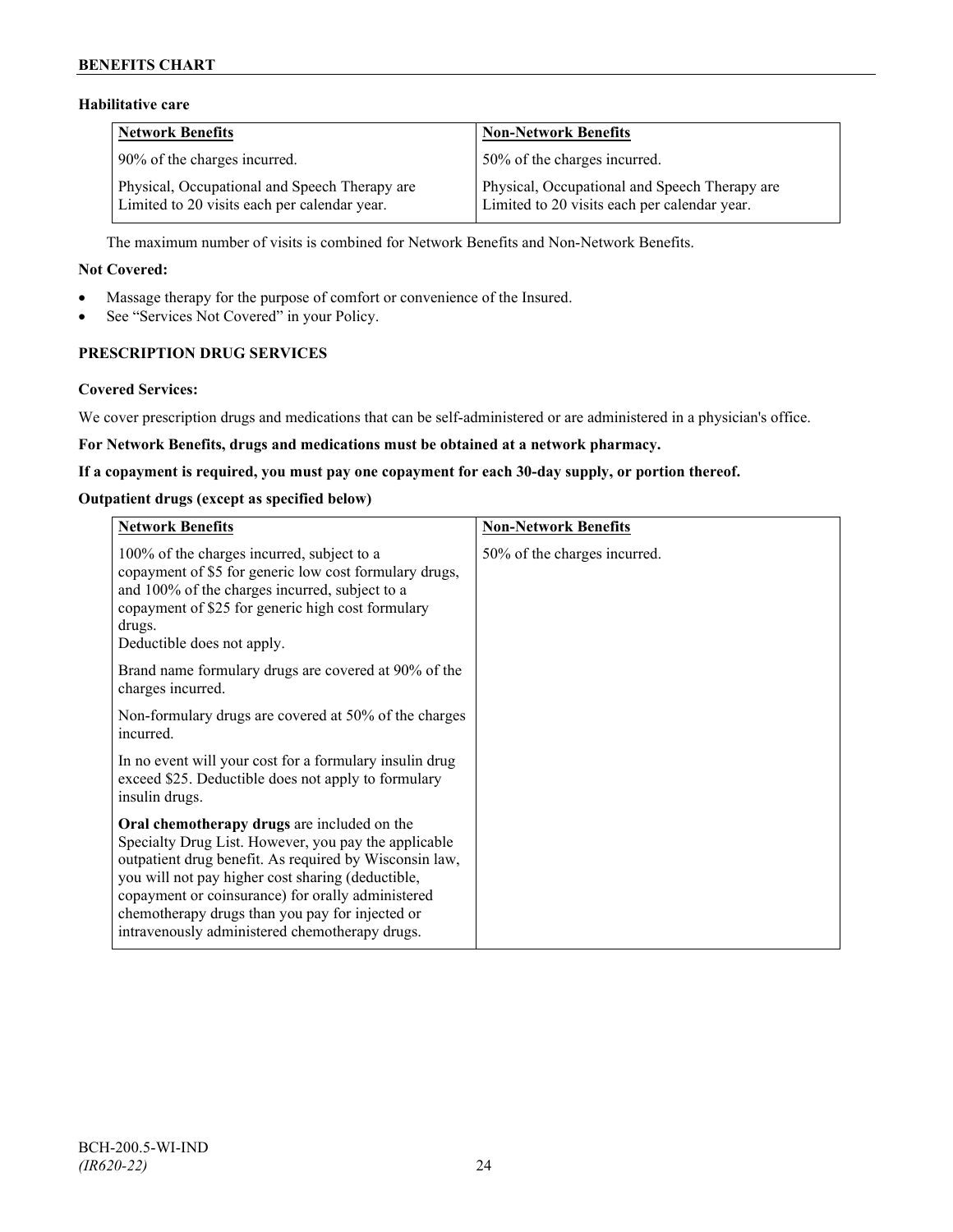## **BENEFITS CHART**

## **Habilitative care**

| <b>Network Benefits</b>                                                                       | <b>Non-Network Benefits</b>                                                                   |
|-----------------------------------------------------------------------------------------------|-----------------------------------------------------------------------------------------------|
| 90% of the charges incurred.                                                                  | 50% of the charges incurred.                                                                  |
| Physical, Occupational and Speech Therapy are<br>Limited to 20 visits each per calendar year. | Physical, Occupational and Speech Therapy are<br>Limited to 20 visits each per calendar year. |

The maximum number of visits is combined for Network Benefits and Non-Network Benefits.

#### **Not Covered:**

- Massage therapy for the purpose of comfort or convenience of the Insured.
- See "Services Not Covered" in your Policy.

## **PRESCRIPTION DRUG SERVICES**

#### **Covered Services:**

We cover prescription drugs and medications that can be self-administered or are administered in a physician's office.

### **For Network Benefits, drugs and medications must be obtained at a network pharmacy.**

#### **If a copayment is required, you must pay one copayment for each 30-day supply, or portion thereof.**

#### **Outpatient drugs (except as specified below)**

| <b>Network Benefits</b>                                                                                                                                                                                                                                                                                                                                                      | <b>Non-Network Benefits</b>  |
|------------------------------------------------------------------------------------------------------------------------------------------------------------------------------------------------------------------------------------------------------------------------------------------------------------------------------------------------------------------------------|------------------------------|
| 100% of the charges incurred, subject to a<br>copayment of \$5 for generic low cost formulary drugs,<br>and 100% of the charges incurred, subject to a<br>copayment of \$25 for generic high cost formulary<br>drugs.<br>Deductible does not apply.                                                                                                                          | 50% of the charges incurred. |
| Brand name formulary drugs are covered at 90% of the<br>charges incurred.                                                                                                                                                                                                                                                                                                    |                              |
| Non-formulary drugs are covered at 50% of the charges<br>incurred.                                                                                                                                                                                                                                                                                                           |                              |
| In no event will your cost for a formulary insulin drug<br>exceed \$25. Deductible does not apply to formulary<br>insulin drugs.                                                                                                                                                                                                                                             |                              |
| Oral chemotherapy drugs are included on the<br>Specialty Drug List. However, you pay the applicable<br>outpatient drug benefit. As required by Wisconsin law,<br>you will not pay higher cost sharing (deductible,<br>copayment or coinsurance) for orally administered<br>chemotherapy drugs than you pay for injected or<br>intravenously administered chemotherapy drugs. |                              |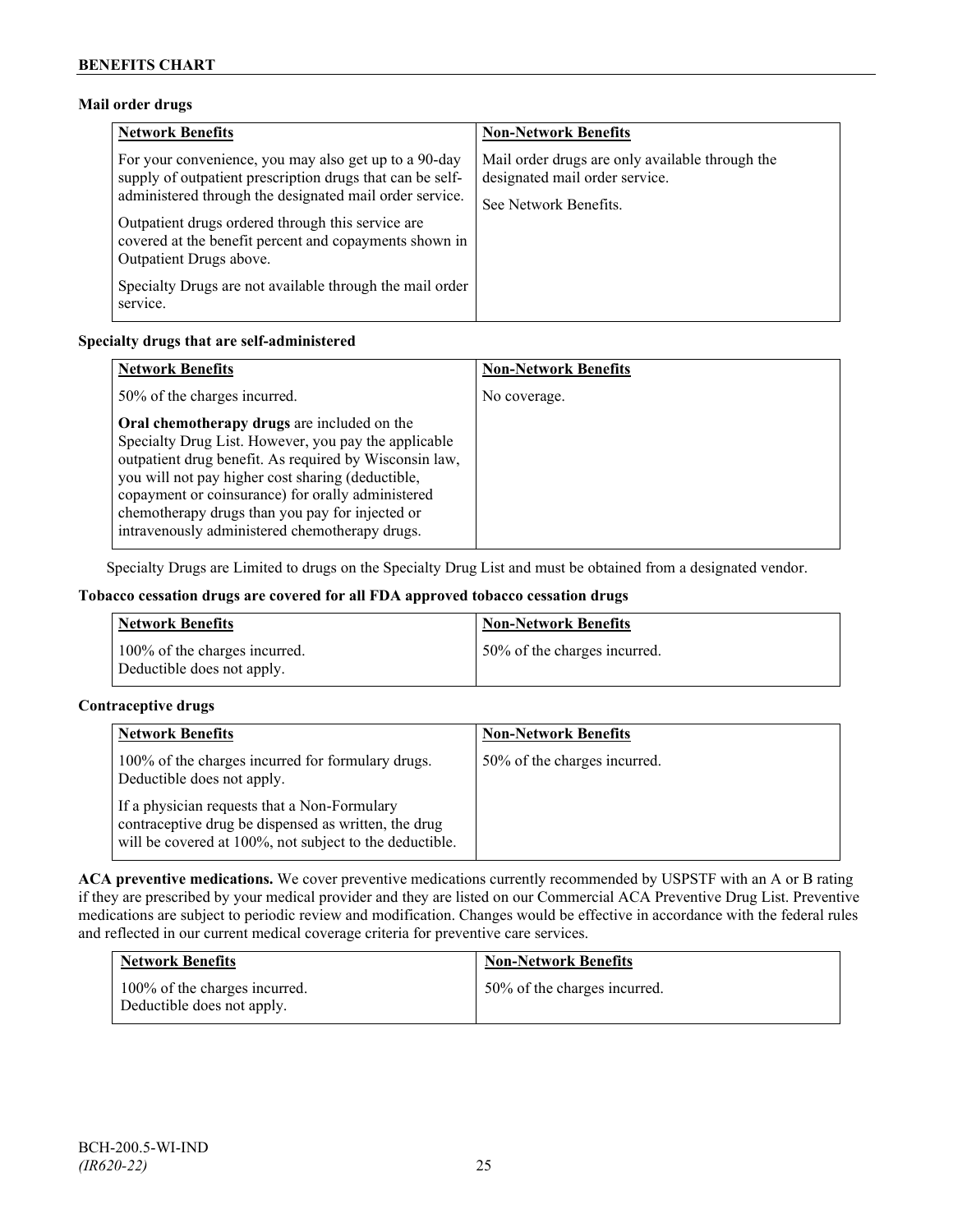## **Mail order drugs**

| <b>Network Benefits</b>                                                                                                                                                                                                                                                                                                 | <b>Non-Network Benefits</b>                                                                                |
|-------------------------------------------------------------------------------------------------------------------------------------------------------------------------------------------------------------------------------------------------------------------------------------------------------------------------|------------------------------------------------------------------------------------------------------------|
| For your convenience, you may also get up to a 90-day<br>supply of outpatient prescription drugs that can be self-<br>administered through the designated mail order service.<br>Outpatient drugs ordered through this service are<br>covered at the benefit percent and copayments shown in<br>Outpatient Drugs above. | Mail order drugs are only available through the<br>designated mail order service.<br>See Network Benefits. |
| Specialty Drugs are not available through the mail order<br>service.                                                                                                                                                                                                                                                    |                                                                                                            |

## **Specialty drugs that are self-administered**

| <b>Network Benefits</b>                                                                                                                                                                                                                                                                                                                                                      | <b>Non-Network Benefits</b> |
|------------------------------------------------------------------------------------------------------------------------------------------------------------------------------------------------------------------------------------------------------------------------------------------------------------------------------------------------------------------------------|-----------------------------|
| 50% of the charges incurred.                                                                                                                                                                                                                                                                                                                                                 | No coverage.                |
| Oral chemotherapy drugs are included on the<br>Specialty Drug List. However, you pay the applicable<br>outpatient drug benefit. As required by Wisconsin law,<br>you will not pay higher cost sharing (deductible,<br>copayment or coinsurance) for orally administered<br>chemotherapy drugs than you pay for injected or<br>intravenously administered chemotherapy drugs. |                             |

Specialty Drugs are Limited to drugs on the Specialty Drug List and must be obtained from a designated vendor.

## **Tobacco cessation drugs are covered for all FDA approved tobacco cessation drugs**

| <b>Network Benefits</b>                                     | <b>Non-Network Benefits</b>  |
|-------------------------------------------------------------|------------------------------|
| 100% of the charges incurred.<br>Deductible does not apply. | 50% of the charges incurred. |

## **Contraceptive drugs**

| <b>Network Benefits</b>                                                                                                                                         | <b>Non-Network Benefits</b>  |
|-----------------------------------------------------------------------------------------------------------------------------------------------------------------|------------------------------|
| 100% of the charges incurred for formulary drugs.<br>Deductible does not apply.                                                                                 | 50% of the charges incurred. |
| If a physician requests that a Non-Formulary<br>contraceptive drug be dispensed as written, the drug<br>will be covered at 100%, not subject to the deductible. |                              |

**ACA preventive medications.** We cover preventive medications currently recommended by USPSTF with an A or B rating if they are prescribed by your medical provider and they are listed on our Commercial ACA Preventive Drug List. Preventive medications are subject to periodic review and modification. Changes would be effective in accordance with the federal rules and reflected in our current medical coverage criteria for preventive care services.

| <b>Network Benefits</b>                                     | <b>Non-Network Benefits</b>  |
|-------------------------------------------------------------|------------------------------|
| 100% of the charges incurred.<br>Deductible does not apply. | 50% of the charges incurred. |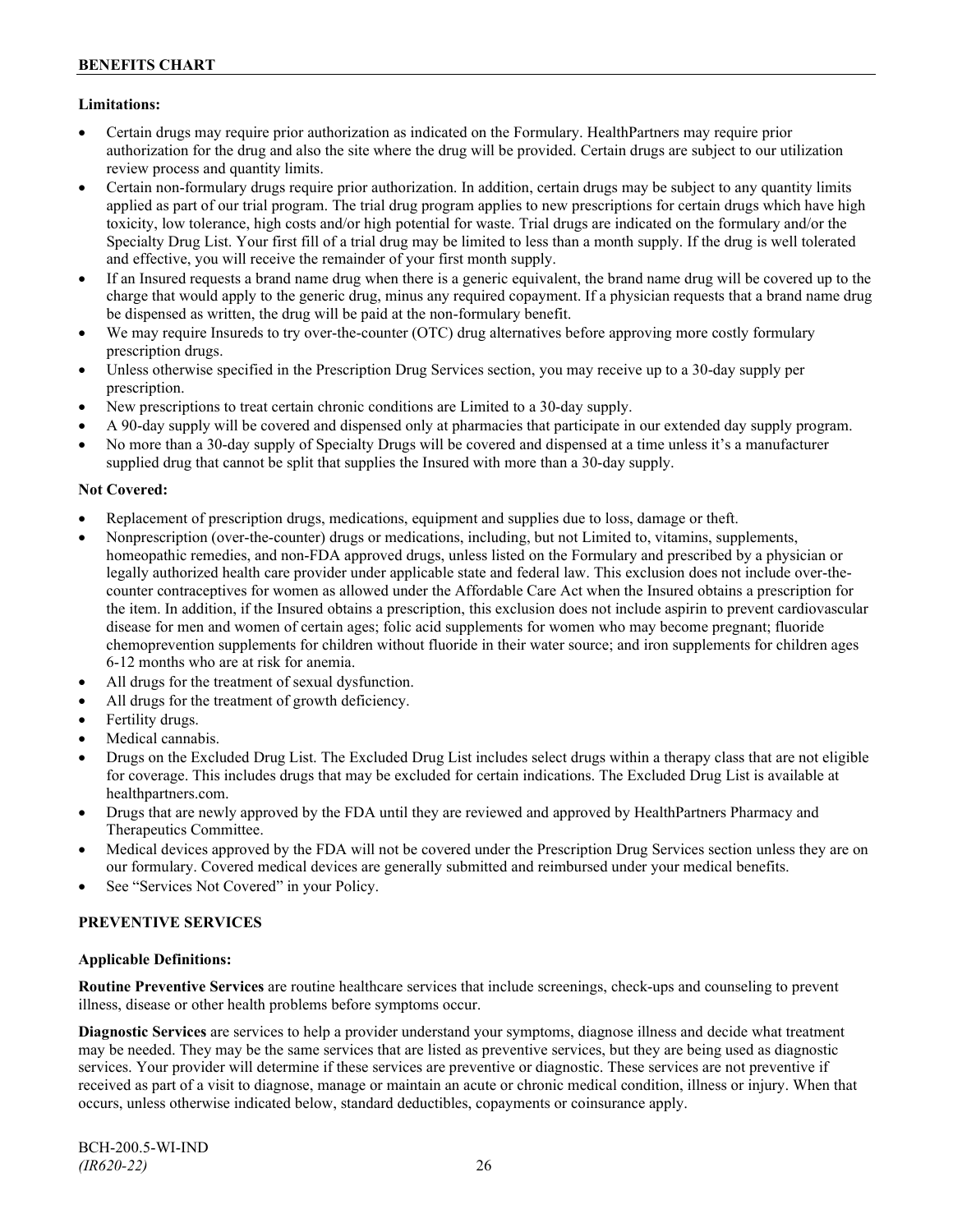## **Limitations:**

- Certain drugs may require prior authorization as indicated on the Formulary. HealthPartners may require prior authorization for the drug and also the site where the drug will be provided. Certain drugs are subject to our utilization review process and quantity limits.
- Certain non-formulary drugs require prior authorization. In addition, certain drugs may be subject to any quantity limits applied as part of our trial program. The trial drug program applies to new prescriptions for certain drugs which have high toxicity, low tolerance, high costs and/or high potential for waste. Trial drugs are indicated on the formulary and/or the Specialty Drug List. Your first fill of a trial drug may be limited to less than a month supply. If the drug is well tolerated and effective, you will receive the remainder of your first month supply.
- If an Insured requests a brand name drug when there is a generic equivalent, the brand name drug will be covered up to the charge that would apply to the generic drug, minus any required copayment. If a physician requests that a brand name drug be dispensed as written, the drug will be paid at the non-formulary benefit.
- We may require Insureds to try over-the-counter (OTC) drug alternatives before approving more costly formulary prescription drugs.
- Unless otherwise specified in the Prescription Drug Services section, you may receive up to a 30-day supply per prescription.
- New prescriptions to treat certain chronic conditions are Limited to a 30-day supply.
- A 90-day supply will be covered and dispensed only at pharmacies that participate in our extended day supply program.
- No more than a 30-day supply of Specialty Drugs will be covered and dispensed at a time unless it's a manufacturer supplied drug that cannot be split that supplies the Insured with more than a 30-day supply.

## **Not Covered:**

- Replacement of prescription drugs, medications, equipment and supplies due to loss, damage or theft.
- Nonprescription (over-the-counter) drugs or medications, including, but not Limited to, vitamins, supplements, homeopathic remedies, and non-FDA approved drugs, unless listed on the Formulary and prescribed by a physician or legally authorized health care provider under applicable state and federal law. This exclusion does not include over-thecounter contraceptives for women as allowed under the Affordable Care Act when the Insured obtains a prescription for the item. In addition, if the Insured obtains a prescription, this exclusion does not include aspirin to prevent cardiovascular disease for men and women of certain ages; folic acid supplements for women who may become pregnant; fluoride chemoprevention supplements for children without fluoride in their water source; and iron supplements for children ages 6-12 months who are at risk for anemia.
- All drugs for the treatment of sexual dysfunction.
- All drugs for the treatment of growth deficiency.
- Fertility drugs.
- Medical cannabis.
- Drugs on the Excluded Drug List. The Excluded Drug List includes select drugs within a therapy class that are not eligible for coverage. This includes drugs that may be excluded for certain indications. The Excluded Drug List is available at [healthpartners.com.](http://www.healthpartners.com/)
- Drugs that are newly approved by the FDA until they are reviewed and approved by HealthPartners Pharmacy and Therapeutics Committee.
- Medical devices approved by the FDA will not be covered under the Prescription Drug Services section unless they are on our formulary. Covered medical devices are generally submitted and reimbursed under your medical benefits.
- See "Services Not Covered" in your Policy.

## **PREVENTIVE SERVICES**

## **Applicable Definitions:**

**Routine Preventive Services** are routine healthcare services that include screenings, check-ups and counseling to prevent illness, disease or other health problems before symptoms occur.

**Diagnostic Services** are services to help a provider understand your symptoms, diagnose illness and decide what treatment may be needed. They may be the same services that are listed as preventive services, but they are being used as diagnostic services. Your provider will determine if these services are preventive or diagnostic. These services are not preventive if received as part of a visit to diagnose, manage or maintain an acute or chronic medical condition, illness or injury. When that occurs, unless otherwise indicated below, standard deductibles, copayments or coinsurance apply.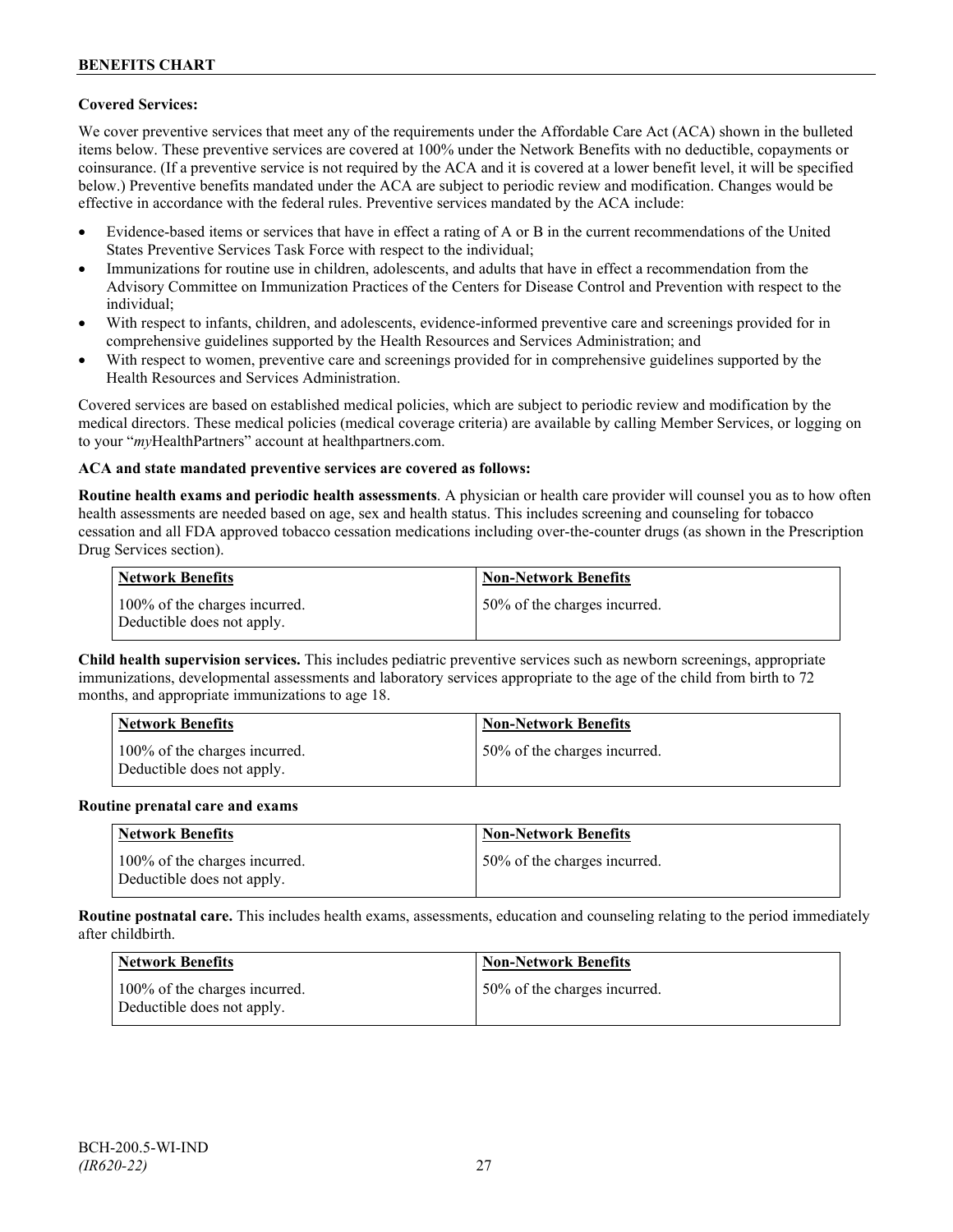## **Covered Services:**

We cover preventive services that meet any of the requirements under the Affordable Care Act (ACA) shown in the bulleted items below. These preventive services are covered at 100% under the Network Benefits with no deductible, copayments or coinsurance. (If a preventive service is not required by the ACA and it is covered at a lower benefit level, it will be specified below.) Preventive benefits mandated under the ACA are subject to periodic review and modification. Changes would be effective in accordance with the federal rules. Preventive services mandated by the ACA include:

- Evidence-based items or services that have in effect a rating of A or B in the current recommendations of the United States Preventive Services Task Force with respect to the individual;
- Immunizations for routine use in children, adolescents, and adults that have in effect a recommendation from the Advisory Committee on Immunization Practices of the Centers for Disease Control and Prevention with respect to the individual;
- With respect to infants, children, and adolescents, evidence-informed preventive care and screenings provided for in comprehensive guidelines supported by the Health Resources and Services Administration; and
- With respect to women, preventive care and screenings provided for in comprehensive guidelines supported by the Health Resources and Services Administration.

Covered services are based on established medical policies, which are subject to periodic review and modification by the medical directors. These medical policies (medical coverage criteria) are available by calling Member Services, or logging on to your "*my*HealthPartners" account at [healthpartners.com.](http://www.healthpartners.com/)

## **ACA and state mandated preventive services are covered as follows:**

**Routine health exams and periodic health assessments**. A physician or health care provider will counsel you as to how often health assessments are needed based on age, sex and health status. This includes screening and counseling for tobacco cessation and all FDA approved tobacco cessation medications including over-the-counter drugs (as shown in the Prescription Drug Services section).

| <b>Network Benefits</b>                                     | <b>Non-Network Benefits</b>  |
|-------------------------------------------------------------|------------------------------|
| 100% of the charges incurred.<br>Deductible does not apply. | 50% of the charges incurred. |

**Child health supervision services.** This includes pediatric preventive services such as newborn screenings, appropriate immunizations, developmental assessments and laboratory services appropriate to the age of the child from birth to 72 months, and appropriate immunizations to age 18.

| <b>Network Benefits</b>                                     | <b>Non-Network Benefits</b>  |
|-------------------------------------------------------------|------------------------------|
| 100% of the charges incurred.<br>Deductible does not apply. | 50% of the charges incurred. |

#### **Routine prenatal care and exams**

| Network Benefits                                            | <b>Non-Network Benefits</b>  |
|-------------------------------------------------------------|------------------------------|
| 100% of the charges incurred.<br>Deductible does not apply. | 50% of the charges incurred. |

**Routine postnatal care.** This includes health exams, assessments, education and counseling relating to the period immediately after childbirth.

| <b>Network Benefits</b>                                     | <b>Non-Network Benefits</b>  |
|-------------------------------------------------------------|------------------------------|
| 100% of the charges incurred.<br>Deductible does not apply. | 50% of the charges incurred. |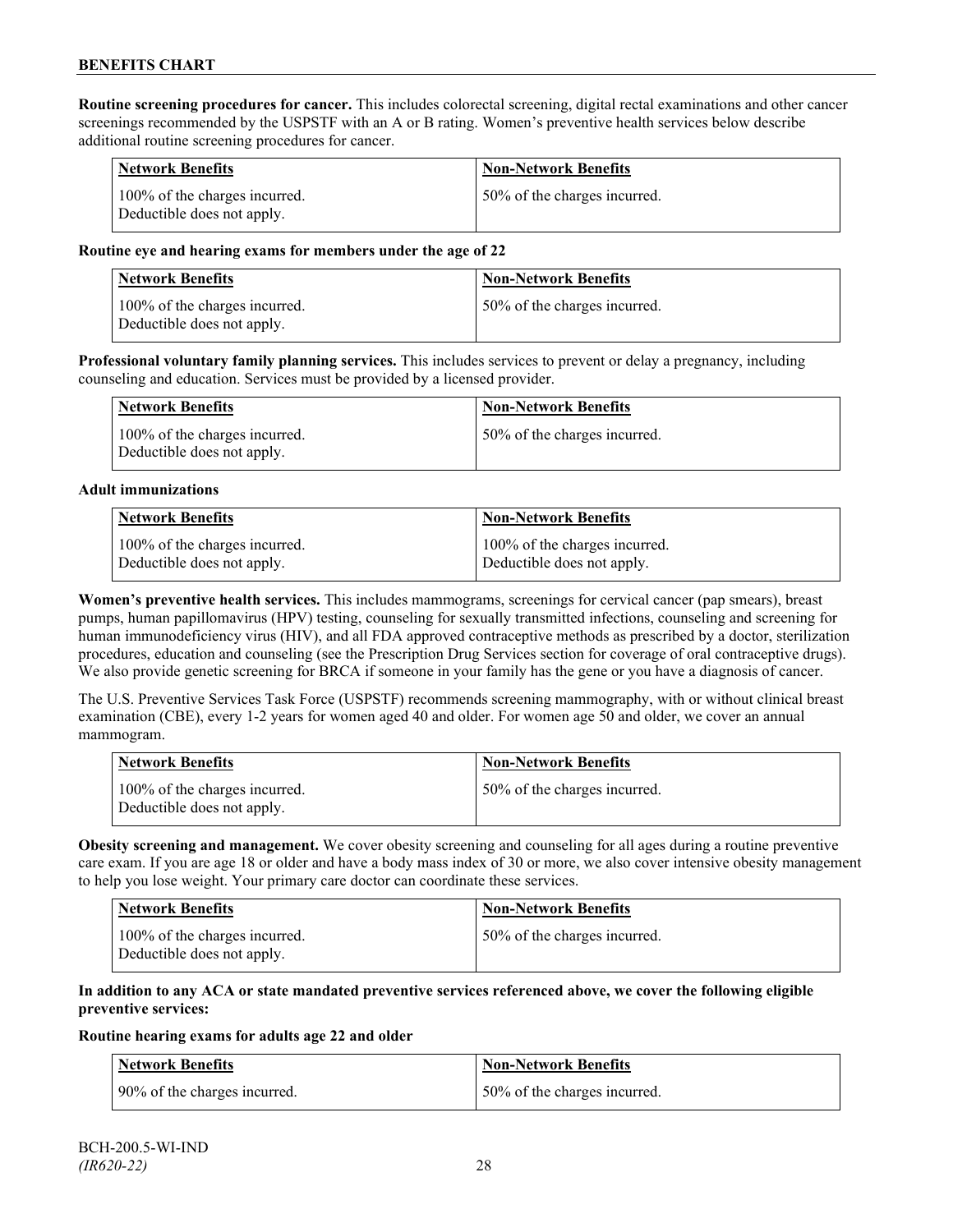**Routine screening procedures for cancer.** This includes colorectal screening, digital rectal examinations and other cancer screenings recommended by the USPSTF with an A or B rating. Women's preventive health services below describe additional routine screening procedures for cancer.

| <b>Network Benefits</b>                                     | <b>Non-Network Benefits</b>  |
|-------------------------------------------------------------|------------------------------|
| 100% of the charges incurred.<br>Deductible does not apply. | 50% of the charges incurred. |

#### **Routine eye and hearing exams for members under the age of 22**

| Network Benefits                                            | <b>Non-Network Benefits</b>  |
|-------------------------------------------------------------|------------------------------|
| 100% of the charges incurred.<br>Deductible does not apply. | 50% of the charges incurred. |

**Professional voluntary family planning services.** This includes services to prevent or delay a pregnancy, including counseling and education. Services must be provided by a licensed provider.

| <b>Network Benefits</b>                                     | <b>Non-Network Benefits</b>  |
|-------------------------------------------------------------|------------------------------|
| 100% of the charges incurred.<br>Deductible does not apply. | 50% of the charges incurred. |

#### **Adult immunizations**

| <b>Network Benefits</b>       | <b>Non-Network Benefits</b>   |
|-------------------------------|-------------------------------|
| 100% of the charges incurred. | 100% of the charges incurred. |
| Deductible does not apply.    | Deductible does not apply.    |

**Women's preventive health services.** This includes mammograms, screenings for cervical cancer (pap smears), breast pumps, human papillomavirus (HPV) testing, counseling for sexually transmitted infections, counseling and screening for human immunodeficiency virus (HIV), and all FDA approved contraceptive methods as prescribed by a doctor, sterilization procedures, education and counseling (see the Prescription Drug Services section for coverage of oral contraceptive drugs). We also provide genetic screening for BRCA if someone in your family has the gene or you have a diagnosis of cancer.

The U.S. Preventive Services Task Force (USPSTF) recommends screening mammography, with or without clinical breast examination (CBE), every 1-2 years for women aged 40 and older. For women age 50 and older, we cover an annual mammogram.

| Network Benefits                                            | <b>Non-Network Benefits</b>  |
|-------------------------------------------------------------|------------------------------|
| 100% of the charges incurred.<br>Deductible does not apply. | 50% of the charges incurred. |

**Obesity screening and management.** We cover obesity screening and counseling for all ages during a routine preventive care exam. If you are age 18 or older and have a body mass index of 30 or more, we also cover intensive obesity management to help you lose weight. Your primary care doctor can coordinate these services.

| <b>Network Benefits</b>                                     | <b>Non-Network Benefits</b>  |
|-------------------------------------------------------------|------------------------------|
| 100% of the charges incurred.<br>Deductible does not apply. | 50% of the charges incurred. |

#### **In addition to any ACA or state mandated preventive services referenced above, we cover the following eligible preventive services:**

#### **Routine hearing exams for adults age 22 and older**

| <b>Network Benefits</b>      | <b>Non-Network Benefits</b>  |
|------------------------------|------------------------------|
| 90% of the charges incurred. | 50% of the charges incurred. |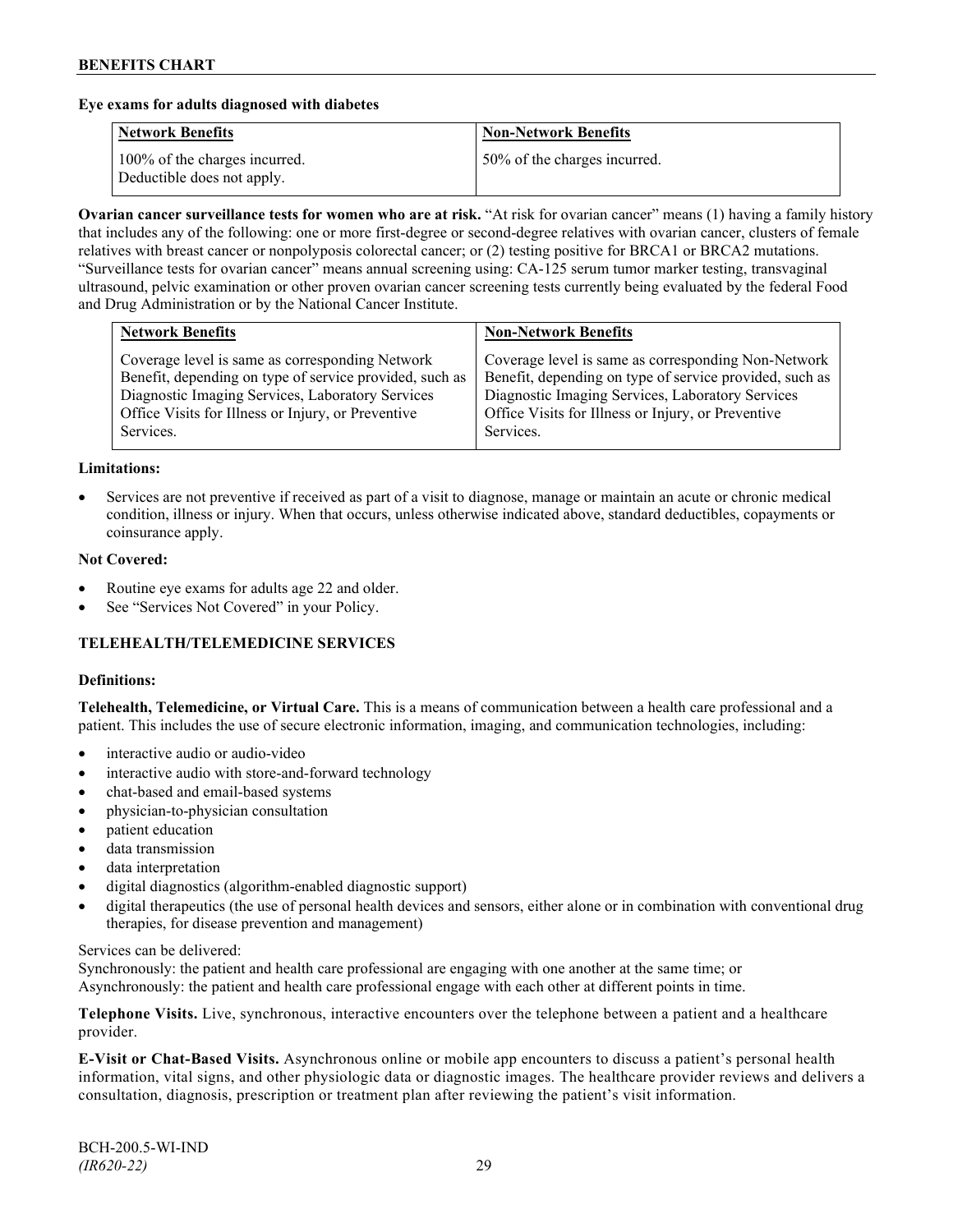#### **Eye exams for adults diagnosed with diabetes**

| <b>Network Benefits</b>                                     | <b>Non-Network Benefits</b>  |
|-------------------------------------------------------------|------------------------------|
| 100% of the charges incurred.<br>Deductible does not apply. | 50% of the charges incurred. |

**Ovarian cancer surveillance tests for women who are at risk.** "At risk for ovarian cancer" means (1) having a family history that includes any of the following: one or more first-degree or second-degree relatives with ovarian cancer, clusters of female relatives with breast cancer or nonpolyposis colorectal cancer; or (2) testing positive for BRCA1 or BRCA2 mutations. "Surveillance tests for ovarian cancer" means annual screening using: CA-125 serum tumor marker testing, transvaginal ultrasound, pelvic examination or other proven ovarian cancer screening tests currently being evaluated by the federal Food and Drug Administration or by the National Cancer Institute.

| Coverage level is same as corresponding Network<br>Benefit, depending on type of service provided, such as<br>Diagnostic Imaging Services, Laboratory Services<br>Diagnostic Imaging Services, Laboratory Services<br>Office Visits for Illness or Injury, or Preventive<br>Office Visits for Illness or Injury, or Preventive | <b>Network Benefits</b> | <b>Non-Network Benefits</b>                                                                                                 |
|--------------------------------------------------------------------------------------------------------------------------------------------------------------------------------------------------------------------------------------------------------------------------------------------------------------------------------|-------------------------|-----------------------------------------------------------------------------------------------------------------------------|
|                                                                                                                                                                                                                                                                                                                                | Services.               | Coverage level is same as corresponding Non-Network<br>Benefit, depending on type of service provided, such as<br>Services. |

#### **Limitations:**

• Services are not preventive if received as part of a visit to diagnose, manage or maintain an acute or chronic medical condition, illness or injury. When that occurs, unless otherwise indicated above, standard deductibles, copayments or coinsurance apply.

#### **Not Covered:**

- Routine eye exams for adults age 22 and older.
- See "Services Not Covered" in your Policy.

## **TELEHEALTH/TELEMEDICINE SERVICES**

#### **Definitions:**

**Telehealth, Telemedicine, or Virtual Care.** This is a means of communication between a health care professional and a patient. This includes the use of secure electronic information, imaging, and communication technologies, including:

- interactive audio or audio-video
- interactive audio with store-and-forward technology
- chat-based and email-based systems
- physician-to-physician consultation
- patient education
- data transmission
- data interpretation
- digital diagnostics (algorithm-enabled diagnostic support)
- digital therapeutics (the use of personal health devices and sensors, either alone or in combination with conventional drug therapies, for disease prevention and management)

#### Services can be delivered:

Synchronously: the patient and health care professional are engaging with one another at the same time; or Asynchronously: the patient and health care professional engage with each other at different points in time.

**Telephone Visits.** Live, synchronous, interactive encounters over the telephone between a patient and a healthcare provider.

**E-Visit or Chat-Based Visits.** Asynchronous online or mobile app encounters to discuss a patient's personal health information, vital signs, and other physiologic data or diagnostic images. The healthcare provider reviews and delivers a consultation, diagnosis, prescription or treatment plan after reviewing the patient's visit information.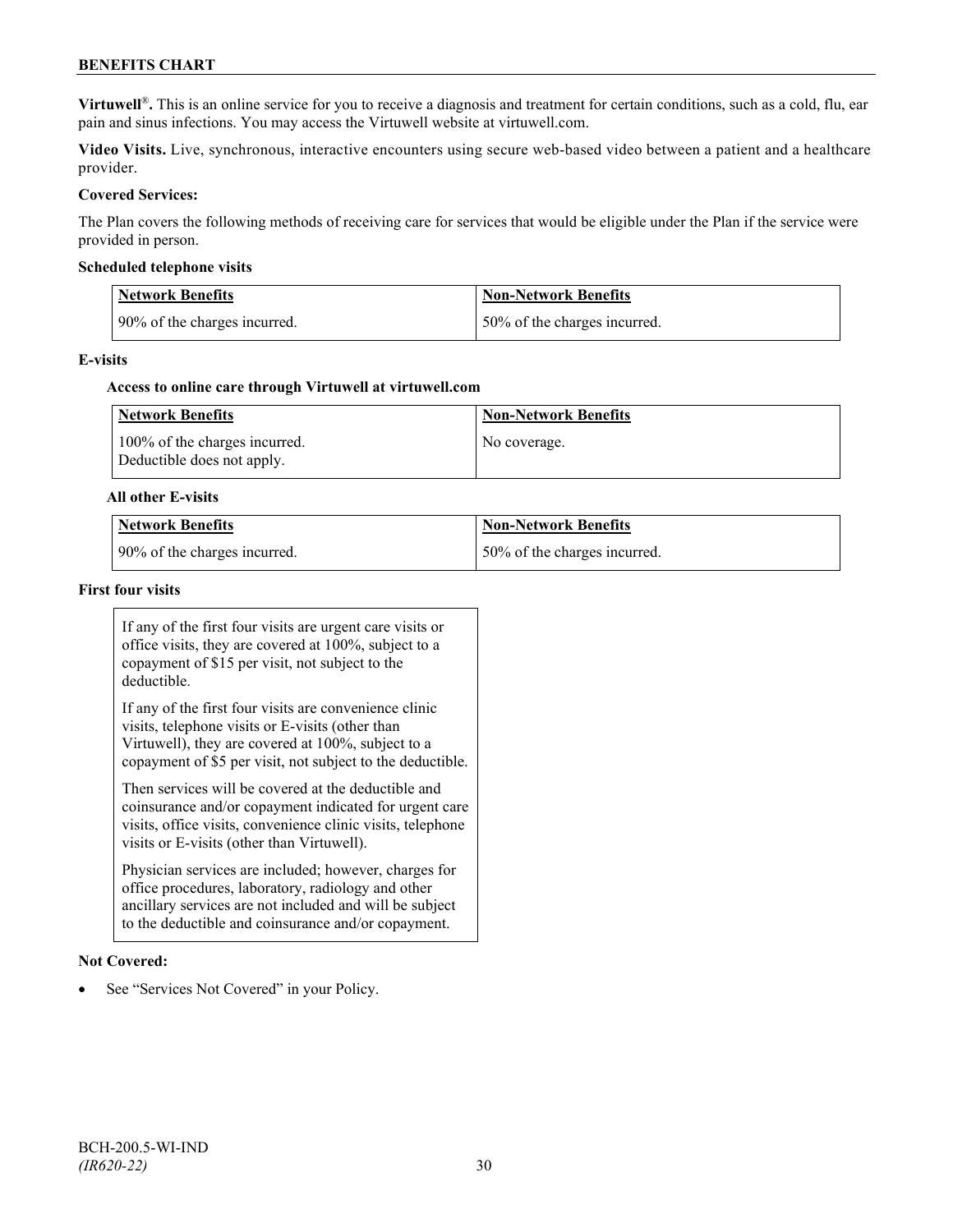## **BENEFITS CHART**

**Virtuwell<sup>®</sup>**. This is an online service for you to receive a diagnosis and treatment for certain conditions, such as a cold, flu, ear pain and sinus infections. You may access the Virtuwell website at [virtuwell.com.](https://www.virtuwell.com/)

**Video Visits.** Live, synchronous, interactive encounters using secure web-based video between a patient and a healthcare provider.

#### **Covered Services:**

The Plan covers the following methods of receiving care for services that would be eligible under the Plan if the service were provided in person.

#### **Scheduled telephone visits**

| <b>Network Benefits</b>      | Non-Network Benefits         |
|------------------------------|------------------------------|
| 90% of the charges incurred. | 50% of the charges incurred. |

#### **E-visits**

#### **Access to online care through Virtuwell at [virtuwell.com](http://www.virtuwell.com/)**

| Network Benefits                                            | <b>Non-Network Benefits</b> |
|-------------------------------------------------------------|-----------------------------|
| 100% of the charges incurred.<br>Deductible does not apply. | No coverage.                |

#### **All other E-visits**

| Network Benefits             | Non-Network Benefits          |
|------------------------------|-------------------------------|
| 90% of the charges incurred. | 150% of the charges incurred. |

## **First four visits**

If any of the first four visits are urgent care visits or office visits, they are covered at 100%, subject to a copayment of \$15 per visit, not subject to the deductible.

If any of the first four visits are convenience clinic visits, telephone visits or E-visits (other than Virtuwell), they are covered at 100%, subject to a copayment of \$5 per visit, not subject to the deductible.

Then services will be covered at the deductible and coinsurance and/or copayment indicated for urgent care visits, office visits, convenience clinic visits, telephone visits or E-visits (other than Virtuwell).

Physician services are included; however, charges for office procedures, laboratory, radiology and other ancillary services are not included and will be subject to the deductible and coinsurance and/or copayment.

#### **Not Covered:**

See "Services Not Covered" in your Policy.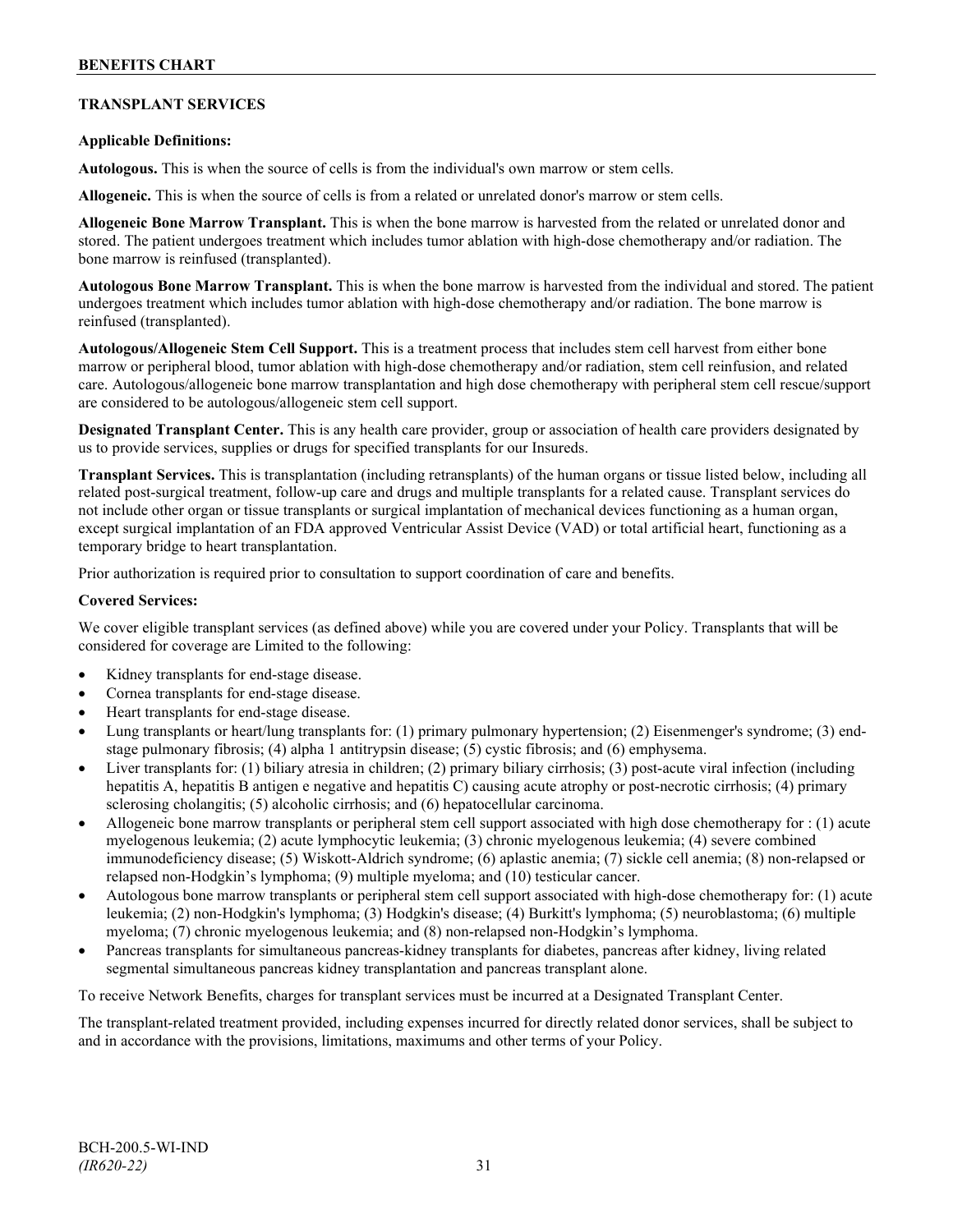## **TRANSPLANT SERVICES**

## **Applicable Definitions:**

**Autologous.** This is when the source of cells is from the individual's own marrow or stem cells.

**Allogeneic.** This is when the source of cells is from a related or unrelated donor's marrow or stem cells.

**Allogeneic Bone Marrow Transplant.** This is when the bone marrow is harvested from the related or unrelated donor and stored. The patient undergoes treatment which includes tumor ablation with high-dose chemotherapy and/or radiation. The bone marrow is reinfused (transplanted).

**Autologous Bone Marrow Transplant.** This is when the bone marrow is harvested from the individual and stored. The patient undergoes treatment which includes tumor ablation with high-dose chemotherapy and/or radiation. The bone marrow is reinfused (transplanted).

**Autologous/Allogeneic Stem Cell Support.** This is a treatment process that includes stem cell harvest from either bone marrow or peripheral blood, tumor ablation with high-dose chemotherapy and/or radiation, stem cell reinfusion, and related care. Autologous/allogeneic bone marrow transplantation and high dose chemotherapy with peripheral stem cell rescue/support are considered to be autologous/allogeneic stem cell support.

**Designated Transplant Center.** This is any health care provider, group or association of health care providers designated by us to provide services, supplies or drugs for specified transplants for our Insureds.

**Transplant Services.** This is transplantation (including retransplants) of the human organs or tissue listed below, including all related post-surgical treatment, follow-up care and drugs and multiple transplants for a related cause. Transplant services do not include other organ or tissue transplants or surgical implantation of mechanical devices functioning as a human organ, except surgical implantation of an FDA approved Ventricular Assist Device (VAD) or total artificial heart, functioning as a temporary bridge to heart transplantation.

Prior authorization is required prior to consultation to support coordination of care and benefits.

#### **Covered Services:**

We cover eligible transplant services (as defined above) while you are covered under your Policy. Transplants that will be considered for coverage are Limited to the following:

- Kidney transplants for end-stage disease.
- Cornea transplants for end-stage disease.
- Heart transplants for end-stage disease.
- Lung transplants or heart/lung transplants for: (1) primary pulmonary hypertension; (2) Eisenmenger's syndrome; (3) endstage pulmonary fibrosis; (4) alpha 1 antitrypsin disease; (5) cystic fibrosis; and (6) emphysema.
- Liver transplants for: (1) biliary atresia in children; (2) primary biliary cirrhosis; (3) post-acute viral infection (including hepatitis A, hepatitis B antigen e negative and hepatitis C) causing acute atrophy or post-necrotic cirrhosis; (4) primary sclerosing cholangitis; (5) alcoholic cirrhosis; and (6) hepatocellular carcinoma.
- Allogeneic bone marrow transplants or peripheral stem cell support associated with high dose chemotherapy for : (1) acute myelogenous leukemia; (2) acute lymphocytic leukemia; (3) chronic myelogenous leukemia; (4) severe combined immunodeficiency disease; (5) Wiskott-Aldrich syndrome; (6) aplastic anemia; (7) sickle cell anemia; (8) non-relapsed or relapsed non-Hodgkin's lymphoma; (9) multiple myeloma; and (10) testicular cancer.
- Autologous bone marrow transplants or peripheral stem cell support associated with high-dose chemotherapy for: (1) acute leukemia; (2) non-Hodgkin's lymphoma; (3) Hodgkin's disease; (4) Burkitt's lymphoma; (5) neuroblastoma; (6) multiple myeloma; (7) chronic myelogenous leukemia; and (8) non-relapsed non-Hodgkin's lymphoma.
- Pancreas transplants for simultaneous pancreas-kidney transplants for diabetes, pancreas after kidney, living related segmental simultaneous pancreas kidney transplantation and pancreas transplant alone.

To receive Network Benefits, charges for transplant services must be incurred at a Designated Transplant Center.

The transplant-related treatment provided, including expenses incurred for directly related donor services, shall be subject to and in accordance with the provisions, limitations, maximums and other terms of your Policy.